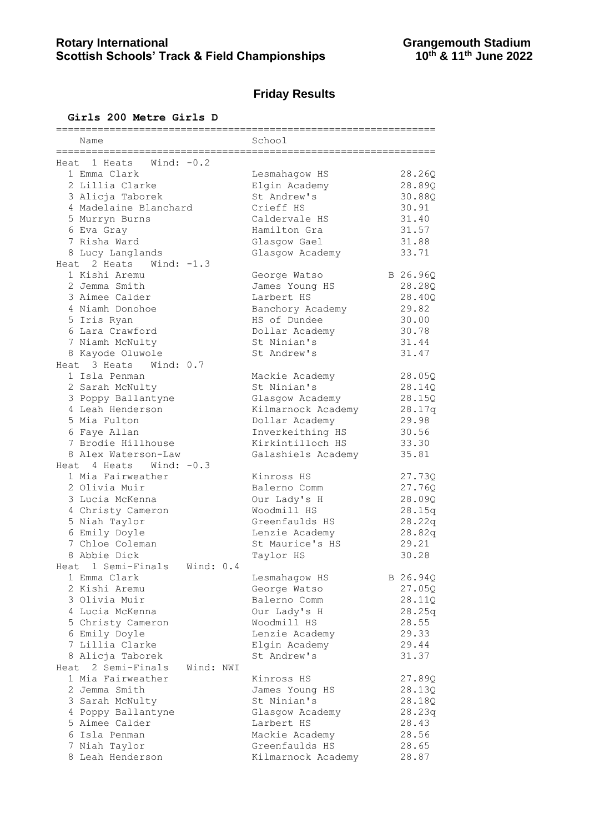# **Friday Results**

## **Girls 200 Metre Girls D**

| Name                            | School                       |
|---------------------------------|------------------------------|
|                                 |                              |
| Wind: $-0.2$<br>Heat 1 Heats    |                              |
| 1 Emma Clark                    | 28.26Q<br>Lesmahagow HS      |
| 2 Lillia Clarke                 | Elgin Academy<br>28.89Q      |
| 3 Alicja Taborek                | St Andrew's<br>30.88Q        |
| 4 Madelaine Blanchard           | 30.91<br>Crieff HS           |
| 5 Murryn Burns                  | 31.40<br>Caldervale HS       |
|                                 | Hamilton Gra                 |
| 6 Eva Gray                      | 31.57                        |
| 7 Risha Ward                    | 31.88<br>Glasgow Gael        |
| 8 Lucy Langlands                | Glasgow Academy<br>33.71     |
| Heat 2 Heats<br>Wind: $-1.3$    |                              |
| 1 Kishi Aremu                   | B 26.96Q<br>George Watso     |
| 2 Jemma Smith                   | 28.28Q<br>James Young HS     |
| 3 Aimee Calder                  | Larbert HS<br>28.40Q         |
| 4 Niamh Donohoe                 | 29.82<br>Banchory Academy    |
| 5 Iris Ryan                     | HS of Dundee<br>30.00        |
| 6 Lara Crawford                 | Dollar Academy<br>30.78      |
| 7 Niamh McNulty                 | St Ninian's<br>31.44         |
| 8 Kayode Oluwole                | St Andrew's<br>31.47         |
| Heat 3 Heats<br>Wind: 0.7       |                              |
| 1 Isla Penman                   |                              |
|                                 | 28.05Q<br>Mackie Academy     |
| 2 Sarah McNulty                 | St Ninian's<br>28.14Q        |
| 3 Poppy Ballantyne              | 28.15Q<br>Glasgow Academy    |
| 4 Leah Henderson                | 28.17q<br>Kilmarnock Academy |
| 5 Mia Fulton                    | 29.98<br>Dollar Academy      |
| 6 Faye Allan                    | 30.56<br>Inverkeithing HS    |
| 7 Brodie Hillhouse              | Kirkintilloch HS<br>33.30    |
| 8 Alex Waterson-Law             | Galashiels Academy<br>35.81  |
| Heat $4$ Heats Wind: $-0.3$     |                              |
| 1 Mia Fairweather               | Kinross HS<br>27.73Q         |
| 2 Olivia Muir                   | Balerno Comm<br>27.76Q       |
| 3 Lucia McKenna                 | Our Lady's H<br>28.09Q       |
| 4 Christy Cameron               | Woodmill HS<br>28.15q        |
| 5 Niah Taylor                   | Greenfaulds HS<br>28.22q     |
|                                 |                              |
| 6 Emily Doyle                   | Lenzie Academy<br>28.82q     |
| 7 Chloe Coleman                 | 29.21<br>St Maurice's HS     |
| 8 Abbie Dick                    | 30.28<br>Taylor HS           |
| Heat 1 Semi-Finals Wind: 0.4    |                              |
| 1 Emma Clark                    | B 26.94Q<br>Lesmahagow HS    |
| 2 Kishi Aremu                   | George Watso<br>27.05Q       |
| 3 Olivia Muir                   | Balerno Comm<br>28.11Q       |
| 4 Lucia McKenna                 | Our Lady's H<br>28.25q       |
| 5 Christy Cameron               | Woodmill HS<br>28.55         |
| 6 Emily Doyle                   | 29.33<br>Lenzie Academy      |
| 7 Lillia Clarke                 | Elgin Academy<br>29.44       |
| 8 Alicja Taborek                | St Andrew's<br>31.37         |
| Heat 2 Semi-Finals<br>Wind: NWI |                              |
| 1 Mia Fairweather               | Kinross HS<br>27.89Q         |
| 2 Jemma Smith                   | James Young HS<br>28.13Q     |
| 3 Sarah McNulty                 | St Ninian's<br>28.18Q        |
|                                 |                              |
| 4 Poppy Ballantyne              | Glasgow Academy<br>28.23q    |
| 5 Aimee Calder                  | Larbert HS<br>28.43          |
| 6 Isla Penman                   | 28.56<br>Mackie Academy      |
| 7 Niah Taylor                   | Greenfaulds HS<br>28.65      |
| 8 Leah Henderson                | 28.87<br>Kilmarnock Academy  |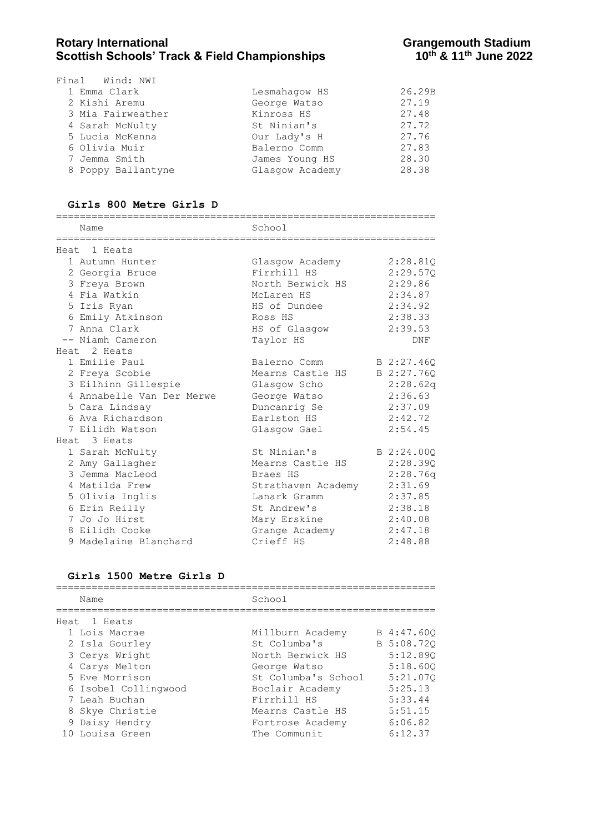### Rotary International **Rotary International**<br>Scottish Schools' Track & Field Championships **Grangemouth Stadium**<br>10<sup>th</sup> & 11<sup>th</sup> June 2022 **Scottish Schools' Track & Field Championships**

| Final Wind: NWI    |                 |        |
|--------------------|-----------------|--------|
| 1 Emma Clark       | Lesmahagow HS   | 26.29B |
| 2 Kishi Aremu      | George Watso    | 27.19  |
| 3 Mia Fairweather  | Kinross HS      | 27.48  |
| 4 Sarah McNulty    | St Ninian's     | 27.72  |
| 5 Lucia McKenna    | Our Lady's H    | 27.76  |
| 6 Olivia Muir      | Balerno Comm    | 27.83  |
| 7 Jemma Smith      | James Young HS  | 28.30  |
| 8 Poppy Ballantyne | Glasgow Academy | 28.38  |

**Girls 800 Metre Girls D** ================================================================ Name School ================================================================ Heat 1 Heats 1 Autumn Hunter Glasgow Academy 2:28.81Q 2 Georgia Bruce Firrhill HS 2:29.57Q 3 Freya Brown North Berwick HS 2:29.86 4 Fia Watkin McLaren HS 2:34.87 5 Iris Ryan HS of Dundee 2:34.92 6 Emily Atkinson Ross HS 2:38.33 7 Anna Clark HS of Glasgow 2:39.53 -- Niamh Cameron Taylor HS DNF Heat 2 Heats 1 Emilie Paul Balerno Comm B 2:27.46Q 2 Freya Scobie Mearns Castle HS B 2:27.76Q 3 Eilhinn Gillespie Glasgow Scho 2:28.62q 4 Annabelle Van Der Merwe George Watso 2:36.63 5 Cara Lindsay Duncanrig Se 2:37.09 6 Ava Richardson Earlston HS 2:42.72 7 Eilidh Watson Glasgow Gael 2:54.45 Heat 3 Heats 1 Sarah McNulty  $\begin{array}{ccc} 1 & 5 & 1 \end{array}$  St Ninian's  $\begin{array}{ccc} 2:24.000 & 1 \end{array}$  2 Amy Gallagher Mearns Castle HS 2:28.39Q 3 Jemma MacLeod Braes HS 2:28.76q 4 Matilda Frew Strathaven Academy 2:31.69 5 Olivia Inglis Lanark Gramm 2:37.85 6 Erin Reilly St Andrew's 2:38.18 7 Jo Jo Hirst Mary Erskine 2:40.08 8 Eilidh Cooke Grange Academy 2:47.18 9 Madelaine Blanchard Crieff HS 2:48.88

#### **Girls 1500 Metre Girls D**

| Name                 | School              |            |
|----------------------|---------------------|------------|
| Heat 1 Heats         |                     |            |
| 1 Lois Macrae        | Millburn Academy    | B 4:47.600 |
| 2 Isla Gourley       | St Columba's        | B 5:08.720 |
| 3 Cerys Wright       | North Berwick HS    | 5:12.890   |
| 4 Carys Melton       | George Watso        | 5:18.600   |
| 5 Eve Morrison       | St Columba's School | 5:21.070   |
| 6 Isobel Collingwood | Boclair Academy     | 5:25.13    |
| 7 Leah Buchan        | Firrhill HS         | 5:33.44    |
| 8 Skye Christie      | Mearns Castle HS    | 5:51.15    |
| 9 Daisy Hendry       | Fortrose Academy    | 6:06.82    |
| 10 Louisa Green      | The Communit        | 6:12.37    |
|                      |                     |            |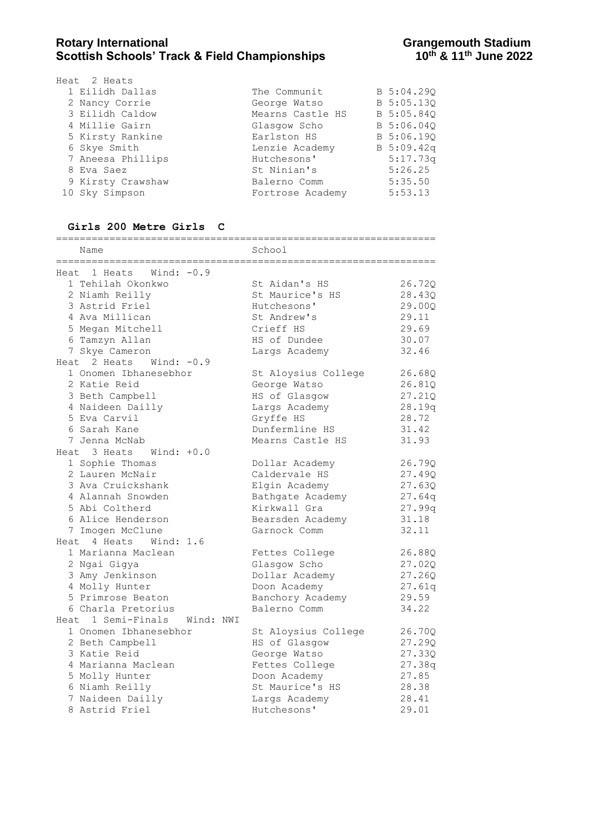| Heat 2 Heats      |                  |            |
|-------------------|------------------|------------|
| 1 Eilidh Dallas   | The Communit     | B 5:04.290 |
| 2 Nancy Corrie    | George Watso     | B 5:05.13Q |
| 3 Eilidh Caldow   | Mearns Castle HS | B 5:05.84Q |
| 4 Millie Gairn    | Glasgow Scho     | B 5:06.04Q |
| 5 Kirsty Rankine  | Earlston HS      | B 5:06.19Q |
| 6 Skye Smith      | Lenzie Academy   | B 5:09.42q |
| 7 Aneesa Phillips | Hutchesons'      | 5:17.73q   |
| 8 Eva Saez        | St Ninian's      | 5:26.25    |
| 9 Kirsty Crawshaw | Balerno Comm     | 5:35.50    |
| 10 Sky Simpson    | Fortrose Academy | 5:53.13    |

#### **Girls 200 Metre Girls C**

| Name                            | School              |        |  |  |  |  |  |
|---------------------------------|---------------------|--------|--|--|--|--|--|
| Wind: $-0.9$<br>Heat 1 Heats    | =============       |        |  |  |  |  |  |
| 1 Tehilah Okonkwo               | St Aidan's HS       | 26.72Q |  |  |  |  |  |
| 2 Niamh Reilly                  | St Maurice's HS     | 28.43Q |  |  |  |  |  |
| 3 Astrid Friel                  | Hutchesons'         | 29.00Q |  |  |  |  |  |
| 4 Ava Millican                  | St Andrew's         | 29.11  |  |  |  |  |  |
| 5 Megan Mitchell                | Crieff HS           | 29.69  |  |  |  |  |  |
| 6 Tamzyn Allan                  | HS of Dundee        | 30.07  |  |  |  |  |  |
| 7 Skye Cameron                  | Largs Academy       | 32.46  |  |  |  |  |  |
| Heat 2 Heats<br>Wind: $-0.9$    |                     |        |  |  |  |  |  |
| 1 Onomen Ibhanesebhor           | St Aloysius College | 26.68Q |  |  |  |  |  |
| 2 Katie Reid                    | George Watso        | 26.81Q |  |  |  |  |  |
| 3 Beth Campbell                 | HS of Glasgow       | 27.21Q |  |  |  |  |  |
| 4 Naideen Dailly                | Largs Academy       | 28.19q |  |  |  |  |  |
| 5 Eva Carvil                    | Gryffe HS           | 28.72  |  |  |  |  |  |
| 6 Sarah Kane                    | Dunfermline HS      | 31.42  |  |  |  |  |  |
| 7 Jenna McNab                   | Mearns Castle HS    | 31.93  |  |  |  |  |  |
| Heat 3 Heats<br>Wind: +0.0      |                     |        |  |  |  |  |  |
| 1 Sophie Thomas                 | Dollar Academy      | 26.79Q |  |  |  |  |  |
| 2 Lauren McNair                 | Caldervale HS       | 27.49Q |  |  |  |  |  |
| 3 Ava Cruickshank               | Elgin Academy       | 27.63Q |  |  |  |  |  |
| 4 Alannah Snowden               | Bathgate Academy    | 27.64q |  |  |  |  |  |
| 5 Abi Coltherd                  | Kirkwall Gra        | 27.99q |  |  |  |  |  |
| 6 Alice Henderson               | Bearsden Academy    | 31.18  |  |  |  |  |  |
| 7 Imogen McClune                | Garnock Comm        | 32.11  |  |  |  |  |  |
| Heat 4 Heats<br>Wind: 1.6       |                     |        |  |  |  |  |  |
| 1 Marianna Maclean              | Fettes College      | 26.88Q |  |  |  |  |  |
| 2 Ngai Gigya                    | Glasgow Scho        | 27.02Q |  |  |  |  |  |
| 3 Amy Jenkinson                 | Dollar Academy      | 27.26Q |  |  |  |  |  |
| 4 Molly Hunter                  | Doon Academy        | 27.61q |  |  |  |  |  |
| 5 Primrose Beaton               | Banchory Academy    | 29.59  |  |  |  |  |  |
| 6 Charla Pretorius              | Balerno Comm        | 34.22  |  |  |  |  |  |
| Heat 1 Semi-Finals<br>Wind: NWI |                     |        |  |  |  |  |  |
| 1 Onomen Ibhanesebhor           | St Aloysius College | 26.70Q |  |  |  |  |  |
| 2 Beth Campbell                 | HS of Glasgow       | 27.29Q |  |  |  |  |  |
| 3 Katie Reid                    | George Watso        | 27.33Q |  |  |  |  |  |
| 4 Marianna Maclean              | Fettes College      | 27.38q |  |  |  |  |  |
| 5 Molly Hunter                  | Doon Academy        | 27.85  |  |  |  |  |  |
| 6 Niamh Reilly                  | St Maurice's HS     | 28.38  |  |  |  |  |  |
| 7 Naideen Dailly                | Largs Academy       | 28.41  |  |  |  |  |  |
| 8 Astrid Friel                  | Hutchesons'         | 29.01  |  |  |  |  |  |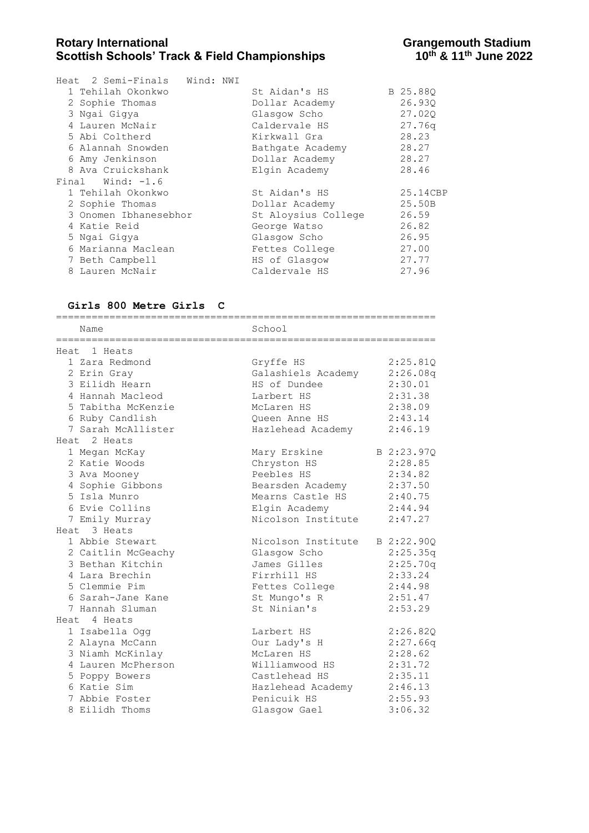### **Rotary International Constrained Beam Constrained Beam Scottish Schools' Track & Field Championships Grangemouth Stadium**<br>10<sup>th</sup> & 11<sup>th</sup> June 2022 **Scottish Schools' Track & Field Championships**

|   | Heat 2 Semi-Finals Wind: NWI<br>1 Tehilah Okonkwo<br>2 Sophie Thomas |  | St Aidan's HS<br>Dollar Academy | B 25.880<br>26.930 |
|---|----------------------------------------------------------------------|--|---------------------------------|--------------------|
|   | 3 Ngai Gigya                                                         |  | Glasgow Scho                    | 27.020             |
|   | 4 Lauren McNair                                                      |  | Caldervale HS                   | 27.76q             |
|   | 5 Abi Coltherd                                                       |  | Kirkwall Gra                    | 28.23              |
|   | 6 Alannah Snowden                                                    |  | Bathgate Academy                | 28.27              |
|   | 6 Amy Jenkinson                                                      |  | Dollar Academy                  | 28.27              |
|   | 8 Ava Cruickshank                                                    |  | Elgin Academy                   | 28.46              |
|   | Final Wind: $-1.6$                                                   |  |                                 |                    |
|   | 1 Tehilah Okonkwo                                                    |  | St Aidan's HS                   | 25.14CBP           |
|   | 2 Sophie Thomas                                                      |  | Dollar Academy                  | 25.50B             |
|   | 3 Onomen Ibhanesebhor                                                |  | St Aloysius College             | 26.59              |
|   | 4 Katie Reid                                                         |  | George Watso                    | 26.82              |
|   | 5 Ngai Gigya                                                         |  | Glasgow Scho                    | 26.95              |
|   | 6 Marianna Maclean                                                   |  | Fettes College                  | 27.00              |
|   | 7 Beth Campbell                                                      |  | HS of Glasgow                   | 27.77              |
| 8 | Lauren McNair                                                        |  | Caldervale HS                   | 27.96              |

#### **Girls 800 Metre Girls C**

================================================================ Name School ================================================================ Heat 1 Heats 1 Zara Redmond Gryffe HS 2:25.81Q 2 Erin Gray Galashiels Academy 2:26.08q 3 Eilidh Hearn HS of Dundee 2:30.01 4 Hannah Macleod Larbert HS 2:31.38 5 Tabitha McKenzie McLaren HS 2:38.09 6 Ruby Candlish Queen Anne HS 2:43.14 7 Sarah McAllister Hazlehead Academy 2:46.19 Heat 2 Heats 1 Megan McKay Mary Erskine B 2:23.97Q 2 Katie Woods Chryston HS 2:28.85 3 Ava Mooney Peebles HS 2:34.82 4 Sophie Gibbons Bearsden Academy 2:37.50 5 Isla Munro Mearns Castle HS 2:40.75 6 Evie Collins Elgin Academy 2:44.94 7 Emily Murray Chamber 2:47.27 Heat 3 Heats 1 Abbie Stewart Nicolson Institute B 2:22.90Q 2 Caitlin McGeachy Glasgow Scho 2:25.35q 3 Bethan Kitchin James Gilles 2:25.70q 4 Lara Brechin **Firrhill HS** 2:33.24 5 Clemmie Pim Fettes College 2:44.98 6 Sarah-Jane Kane St Mungo's R 2:51.47 7 Hannah Sluman St Ninian's 2:53.29 Heat 4 Heats 1 Isabella Ogg Larbert HS 2:26.82Q 2 Alayna McCann Our Lady's H 2:27.66q 3 Niamh McKinlay McLaren HS 2:28.62 4 Lauren McPherson Williamwood HS 2:31.72 5 Poppy Bowers Castlehead HS 2:35.11 6 Katie Sim Hazlehead Academy 2:46.13 7 Abbie Foster Penicuik HS 2:55.93 8 Eilidh Thoms Glasgow Gael 3:06.32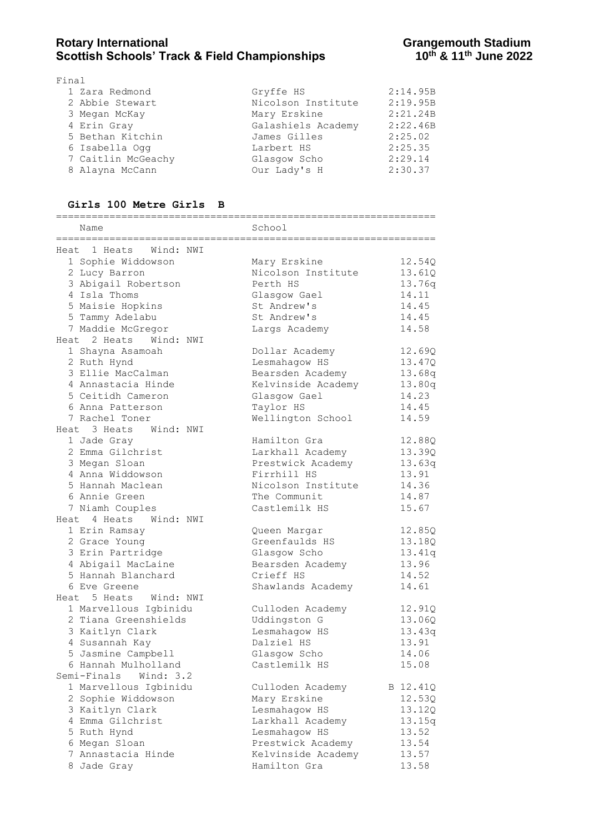| Final              |                    |          |
|--------------------|--------------------|----------|
| 1 Zara Redmond     | Gryffe HS          | 2:14.95B |
| 2 Abbie Stewart    | Nicolson Institute | 2:19.95B |
| 3 Megan McKay      | Mary Erskine       | 2:21.24B |
| 4 Erin Gray        | Galashiels Academy | 2:22.46B |
| 5 Bethan Kitchin   | James Gilles       | 2:25.02  |
| 6 Isabella Ogg     | Larbert HS         | 2:25.35  |
| 7 Caitlin McGeachy | Glasgow Scho       | 2:29.14  |
| 8 Alayna McCann    | Our Lady's H       | 2:30.37  |
|                    |                    |          |

#### **Girls 100 Metre Girls B**

| Name                      | School             |          |
|---------------------------|--------------------|----------|
| Heat 1 Heats<br>Wind: NWI |                    |          |
| 1 Sophie Widdowson        | Mary Erskine       | 12.54Q   |
| 2 Lucy Barron             | Nicolson Institute | 13.61Q   |
| 3 Abigail Robertson       | Perth HS           | 13.76q   |
| 4 Isla Thoms              | Glasgow Gael       | 14.11    |
| 5 Maisie Hopkins          | St Andrew's        | 14.45    |
| 5 Tammy Adelabu           | St Andrew's        | 14.45    |
| 7 Maddie McGregor         | Largs Academy      | 14.58    |
| Heat 2 Heats<br>Wind: NWI |                    |          |
| 1 Shayna Asamoah          | Dollar Academy     | 12.69Q   |
| 2 Ruth Hynd               | Lesmahagow HS      | 13.47Q   |
| 3 Ellie MacCalman         | Bearsden Academy   | 13.68q   |
| 4 Annastacia Hinde        | Kelvinside Academy | 13.80q   |
| 5 Ceitidh Cameron         | Glasgow Gael       | 14.23    |
| 6 Anna Patterson          | Taylor HS          | 14.45    |
| 7 Rachel Toner            | Wellington School  | 14.59    |
| Heat 3 Heats Wind: NWI    |                    |          |
| 1 Jade Gray               | Hamilton Gra       | 12.88Q   |
| 2 Emma Gilchrist          | Larkhall Academy   | 13.39Q   |
| 3 Megan Sloan             | Prestwick Academy  | 13.63q   |
| 4 Anna Widdowson          | Firrhill HS        | 13.91    |
| 5 Hannah Maclean          | Nicolson Institute | 14.36    |
| 6 Annie Green             | The Communit       | 14.87    |
| 7 Niamh Couples           | Castlemilk HS      | 15.67    |
| Heat 4 Heats Wind: NWI    |                    |          |
| 1 Erin Ramsay             | Queen Margar       | 12.85Q   |
| 2 Grace Young             | Greenfaulds HS     | 13.18Q   |
| 3 Erin Partridge          | Glasgow Scho       | 13.41q   |
| 4 Abigail MacLaine        | Bearsden Academy   | 13.96    |
| 5 Hannah Blanchard        | Crieff HS          | 14.52    |
| 6 Eve Greene              | Shawlands Academy  | 14.61    |
| Heat 5 Heats<br>Wind: NWI |                    |          |
| 1 Marvellous Igbinidu     | Culloden Academy   | 12.91Q   |
| 2 Tiana Greenshields      | Uddingston G       | 13.06Q   |
| 3 Kaitlyn Clark           | Lesmahagow HS      | 13.43q   |
| 4 Susannah Kay            | Dalziel HS         | 13.91    |
| 5 Jasmine Campbell        | Glasgow Scho       | 14.06    |
| 6 Hannah Mulholland       | Castlemilk HS      | 15.08    |
| Semi-Finals Wind: 3.2     |                    |          |
| 1 Marvellous Igbinidu     | Culloden Academy   | B 12.41Q |
| 2 Sophie Widdowson        | Mary Erskine       | 12.53Q   |
| 3 Kaitlyn Clark           | Lesmahagow HS      | 13.12Q   |
| 4 Emma Gilchrist          | Larkhall Academy   | 13.15q   |
| 5 Ruth Hynd               | Lesmahagow HS      | 13.52    |
| 6 Megan Sloan             | Prestwick Academy  | 13.54    |
| 7 Annastacia Hinde        | Kelvinside Academy | 13.57    |
| 8 Jade Gray               | Hamilton Gra       | 13.58    |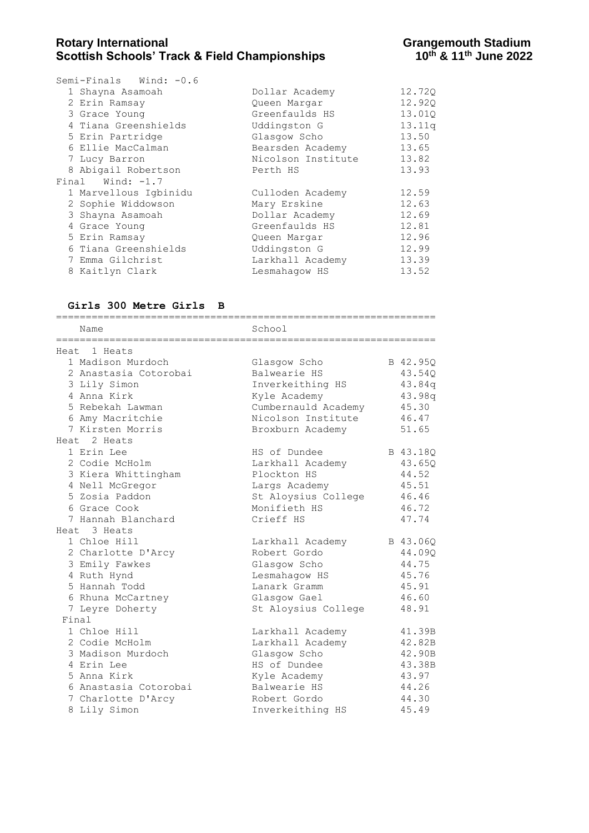| Semi-Finals Wind: $-0.6$ |                    |        |
|--------------------------|--------------------|--------|
| 1 Shayna Asamoah         | Dollar Academy     | 12.720 |
| 2 Erin Ramsay            | Queen Margar       | 12.920 |
| 3 Grace Young            | Greenfaulds HS     | 13.010 |
| 4 Tiana Greenshields     | Uddingston G       | 13.11q |
| 5 Erin Partridge         | Glasgow Scho       | 13.50  |
| 6 Ellie MacCalman        | Bearsden Academy   | 13.65  |
| 7 Lucy Barron            | Nicolson Institute | 13.82  |
| 8 Abigail Robertson      | Perth HS           | 13.93  |
| Final Wind: $-1.7$       |                    |        |
| 1 Marvellous Igbinidu    | Culloden Academy   | 12.59  |
| 2 Sophie Widdowson       | Mary Erskine       | 12.63  |
| 3 Shayna Asamoah         | Dollar Academy     | 12.69  |
| 4 Grace Young            | Greenfaulds HS     | 12.81  |
| 5 Erin Ramsay            | Queen Margar       | 12.96  |
| 6 Tiana Greenshields     | Uddingston G       | 12.99  |
| 7 Emma Gilchrist         | Larkhall Academy   | 13.39  |
| 8 Kaitlyn Clark          | Lesmahaqow HS      | 13.52  |
|                          |                    |        |

## **Girls 300 Metre Girls B**

| Name                                                                                                                                                  | School<br>--------------------------                                                                                                     |                                                                          |
|-------------------------------------------------------------------------------------------------------------------------------------------------------|------------------------------------------------------------------------------------------------------------------------------------------|--------------------------------------------------------------------------|
| Heat 1 Heats                                                                                                                                          |                                                                                                                                          |                                                                          |
| 1 Madison Murdoch<br>2 Anastasia Cotorobai<br>3 Lily Simon<br>4 Anna Kirk<br>5 Rebekah Lawman<br>6 Amy Macritchie<br>7 Kirsten Morris<br>Heat 2 Heats | Glasgow Scho<br>Balwearie HS<br>Inverkeithing HS<br>Kyle Academy<br>Cumbernauld Academy<br>Nicolson Institute<br>Broxburn Academy        | B 42.95Q<br>43.54Q<br>43.84q<br>43.98q<br>45.30<br>46.47<br>51.65        |
| 1 Erin Lee<br>2 Codie McHolm<br>3 Kiera Whittingham<br>4 Nell McGregor<br>5 Zosia Paddon<br>6 Grace Cook<br>7 Hannah Blanchard<br>Heat 3 Heats        | HS of Dundee<br>Larkhall Academy<br>Plockton HS<br>Largs Academy<br>St Aloysius College<br>Monifieth HS<br>Crieff HS                     | B 43.18Q<br>43.65Q<br>44.52<br>45.51<br>46.46<br>46.72<br>47.74          |
| 1 Chloe Hill<br>2 Charlotte D'Arcy<br>3 Emily Fawkes<br>4 Ruth Hynd<br>5 Hannah Todd<br>6 Rhuna McCartney<br>7 Leyre Doherty<br>Final                 | Larkhall Academy<br>Robert Gordo<br>Glasgow Scho<br>Lesmahagow HS<br>Lanark Gramm<br>Glasgow Gael<br>St Aloysius College                 | B 43.06Q<br>44.09Q<br>44.75<br>45.76<br>45.91<br>46.60<br>48.91          |
| 1 Chloe Hill<br>2 Codie McHolm<br>3 Madison Murdoch<br>4 Erin Lee<br>5 Anna Kirk<br>6 Anastasia Cotorobai<br>7 Charlotte D'Arcy<br>8 Lily Simon       | Larkhall Academy<br>Larkhall Academy<br>Glasgow Scho<br>HS of Dundee<br>Kyle Academy<br>Balwearie HS<br>Robert Gordo<br>Inverkeithing HS | 41.39B<br>42.82B<br>42.90B<br>43.38B<br>43.97<br>44.26<br>44.30<br>45.49 |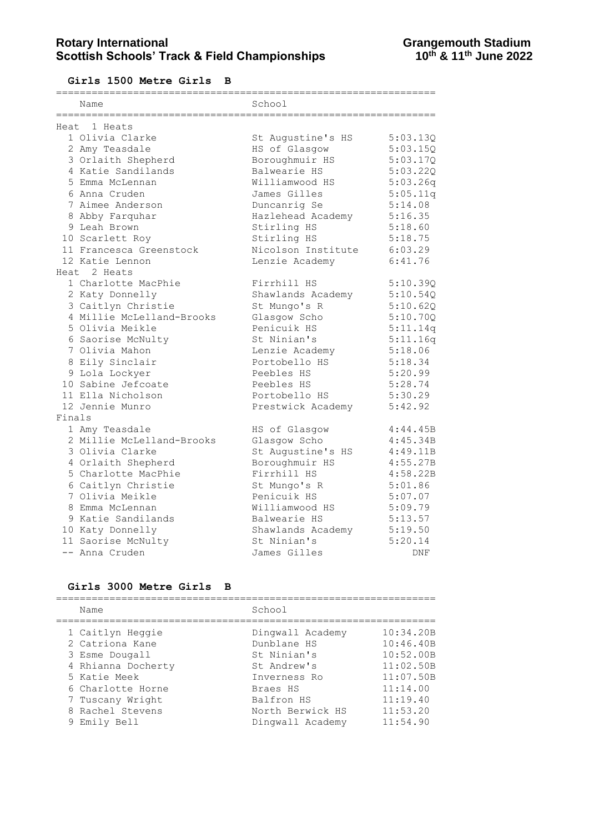## Rotary International **Rotary International**<br>Scottish Schools' Track & Field Championships **Grangemouth Stadium**<br>10<sup>th</sup> & 11<sup>th</sup> June 2022 **Scottish Schools' Track & Field Championships**

**Girls 1500 Metre Girls B**

|        | Name                      | School             |          |  |  |  |  |
|--------|---------------------------|--------------------|----------|--|--|--|--|
|        | Heat.<br>1 Heats          |                    |          |  |  |  |  |
|        | 1 Olivia Clarke           | St Augustine's HS  | 5:03.13Q |  |  |  |  |
|        | 2 Amy Teasdale            | HS of Glasgow      | 5:03.15Q |  |  |  |  |
|        | 3 Orlaith Shepherd        | Boroughmuir HS     | 5:03.17Q |  |  |  |  |
|        | 4 Katie Sandilands        | Balwearie HS       | 5:03.22Q |  |  |  |  |
|        | 5 Emma McLennan           | Williamwood HS     | 5:03.26q |  |  |  |  |
|        | 6 Anna Cruden             | James Gilles       | 5:05.11q |  |  |  |  |
|        | 7 Aimee Anderson          | Duncanrig Se       | 5:14.08  |  |  |  |  |
|        | 8 Abby Farquhar           | Hazlehead Academy  | 5:16.35  |  |  |  |  |
|        | 9 Leah Brown              | Stirling HS        | 5:18.60  |  |  |  |  |
|        | 10 Scarlett Roy           | Stirling HS        | 5:18.75  |  |  |  |  |
|        | 11 Francesca Greenstock   | Nicolson Institute | 6:03.29  |  |  |  |  |
|        | 12 Katie Lennon           | Lenzie Academy     | 6:41.76  |  |  |  |  |
|        | Heat 2 Heats              |                    |          |  |  |  |  |
|        | 1 Charlotte MacPhie       | Firrhill HS        | 5:10.39Q |  |  |  |  |
|        | 2 Katy Donnelly           | Shawlands Academy  | 5:10.54Q |  |  |  |  |
|        | 3 Caitlyn Christie        | St Mungo's R       | 5:10.62Q |  |  |  |  |
|        | 4 Millie McLelland-Brooks | Glasqow Scho       | 5:10.70Q |  |  |  |  |
|        | 5 Olivia Meikle           | Penicuik HS        | 5:11.14q |  |  |  |  |
|        | 6 Saorise McNulty         | St Ninian's        | 5:11.16q |  |  |  |  |
|        | 7 Olivia Mahon            | Lenzie Academy     | 5:18.06  |  |  |  |  |
|        | 8 Eily Sinclair           | Portobello HS      | 5:18.34  |  |  |  |  |
|        | 9 Lola Lockyer            | Peebles HS         | 5:20.99  |  |  |  |  |
|        | 10 Sabine Jefcoate        | Peebles HS         | 5:28.74  |  |  |  |  |
|        | 11 Ella Nicholson         | Portobello HS      | 5:30.29  |  |  |  |  |
|        | 12 Jennie Munro           | Prestwick Academy  | 5:42.92  |  |  |  |  |
| Finals |                           |                    |          |  |  |  |  |
|        | 1 Amy Teasdale            | HS of Glasgow      | 4:44.45B |  |  |  |  |
|        | 2 Millie McLelland-Brooks | Glasgow Scho       | 4:45.34B |  |  |  |  |
|        | 3 Olivia Clarke           | St Augustine's HS  | 4:49.11B |  |  |  |  |
|        | 4 Orlaith Shepherd        | Boroughmuir HS     | 4:55.27B |  |  |  |  |
|        | 5 Charlotte MacPhie       | Firrhill HS        | 4:58.22B |  |  |  |  |
|        | 6 Caitlyn Christie        | St Mungo's R       | 5:01.86  |  |  |  |  |
|        | 7 Olivia Meikle           | Penicuik HS        | 5:07.07  |  |  |  |  |
|        | 8 Emma McLennan           | Williamwood HS     | 5:09.79  |  |  |  |  |
|        | 9 Katie Sandilands        | Balwearie HS       | 5:13.57  |  |  |  |  |
|        | 10 Katy Donnelly          | Shawlands Academy  | 5:19.50  |  |  |  |  |
|        | 11 Saorise McNulty        | St Ninian's        | 5:20.14  |  |  |  |  |
|        | -- Anna Cruden            | James Gilles       | DNF      |  |  |  |  |

#### **Girls 3000 Metre Girls B**

================================================================ Name School ================================================================ 1 Caitlyn Heggie Dingwall Academy 10:34.20B 2 Catriona Kane Dunblane HS 10:46.40B 3 Esme Dougall St Ninian's 10:52.00B 4 Rhianna Docherty St Andrew's 11:02.50B 5 Katie Meek Inverness Ro 11:07.50B 6 Charlotte Horne Braes HS 11:14.00 7 Tuscany Wright **Balfron HS** 11:19.40 8 Rachel Stevens North Berwick HS 11:53.20 9 Emily Bell **Dingwall Academy** 11:54.90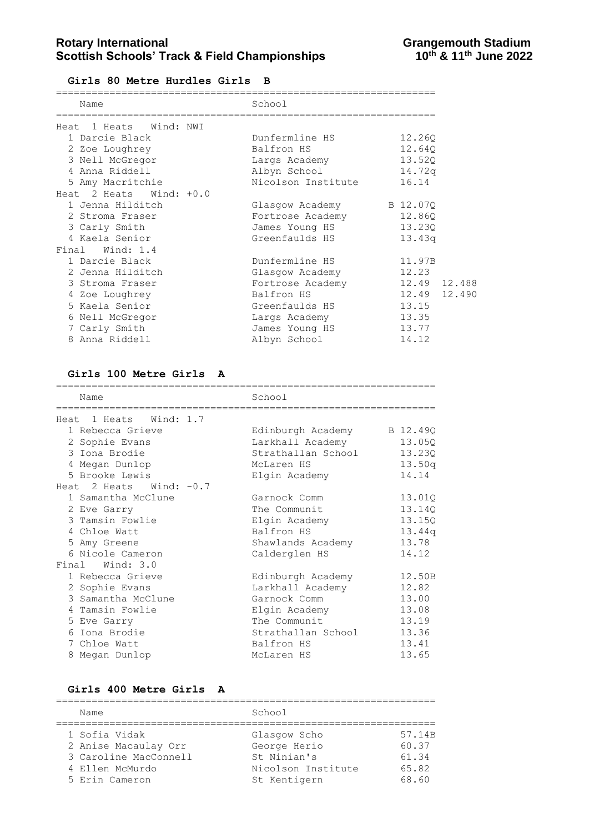**Girls 80 Metre Hurdles Girls B**

| Name                      | School                   |              |
|---------------------------|--------------------------|--------------|
| Heat 1 Heats Wind: NWI    |                          |              |
| 1 Darcie Black            | Dunfermline HS           | 12.260       |
| 2 Zoe Loughrey            | Balfron HS               | 12.640       |
| 3 Nell McGregor           | Largs Academy            | 13.52Q       |
| 4 Anna Riddell            | Albyn School             | 14.72q       |
| 5 Amy Macritchie          | Nicolson Institute       | 16.14        |
| Heat 2 Heats Wind: $+0.0$ |                          |              |
| 1 Jenna Hilditch          | Glasgow Academy B 12.07Q |              |
| 2 Stroma Fraser           | Fortrose Academy         | 12.860       |
| 3 Carly Smith             | James Young HS           | 13.230       |
| 4 Kaela Senior            | Greenfaulds HS           | 13.43q       |
| Final Wind: 1.4           |                          |              |
| 1 Darcie Black            | Dunfermline HS           | 11.97B       |
| 2 Jenna Hilditch          | Glasgow Academy          | 12.23        |
| 3 Stroma Fraser           | Fortrose Academy         | 12.49 12.488 |
| 4 Zoe Loughrey            | Balfron HS               | 12.49 12.490 |
| 5 Kaela Senior            | Greenfaulds HS           | 13.15        |
| 6 Nell McGregor           | Largs Academy            | 13.35        |
| 7 Carly Smith             | James Young HS           | 13.77        |
| 8 Anna Riddell            | Albyn School             | 14.12        |

#### **Girls 100 Metre Girls A**

| Name                      | School                     |        |
|---------------------------|----------------------------|--------|
| Heat 1 Heats Wind: 1.7    |                            |        |
| 1 Rebecca Grieve          | Edinburgh Academy B 12.49Q |        |
| 2 Sophie Evans            | Larkhall Academy           | 13.05Q |
| 3 Iona Brodie             | Strathallan School         | 13.230 |
| 4 Megan Dunlop            | McLaren HS                 | 13.50q |
| 5 Brooke Lewis            | Elgin Academy              | 14.14  |
| Heat 2 Heats Wind: $-0.7$ |                            |        |
| 1 Samantha McClune        | Garnock Comm               | 13.01Q |
| 2 Eve Garry               | The Communit               | 13.140 |
| 3 Tamsin Fowlie           | Elgin Academy              | 13.150 |
| 4 Chloe Watt              | Balfron HS                 | 13.44q |
| 5 Amy Greene              | Shawlands Academy          | 13.78  |
| 6 Nicole Cameron          | Calderglen HS              | 14.12  |
| Final Wind: 3.0           |                            |        |
| 1 Rebecca Grieve          | Edinburgh Academy          | 12.50B |
| 2 Sophie Evans            | Larkhall Academy           | 12.82  |
| 3 Samantha McClune        | Garnock Comm               | 13.00  |
| 4 Tamsin Fowlie           | Elgin Academy              | 13.08  |
| 5 Eve Garry               | The Communit               | 13.19  |
| 6 Iona Brodie             | Strathallan School         | 13.36  |
| 7 Chloe Watt              | Balfron HS                 | 13.41  |
| 8 Megan Dunlop            | McLaren HS                 | 13.65  |

## **Girls 400 Metre Girls A**

| Name                  | School             |        |
|-----------------------|--------------------|--------|
| 1 Sofia Vidak         | Glasgow Scho       | 57.14B |
| 2 Anise Macaulay Orr  | George Herio       | 60.37  |
| 3 Caroline MacConnell | St Ninian's        | 61.34  |
| 4 Ellen McMurdo       | Nicolson Institute | 65.82  |
| 5 Erin Cameron        | St Kentigern       | 68.60  |
|                       |                    |        |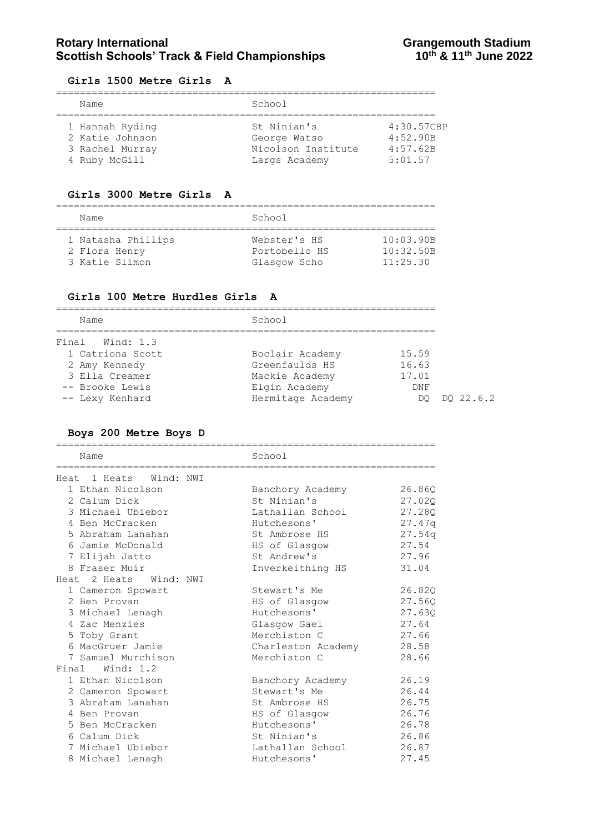## **Rotary International Constrained Beam Constrained Beam Scottish Schools' Track & Field Championships Constrained Beam Scottish Schools' Track & Field Championships Construction Analysis Construction Scottish Schools' Trac Scottish Schools' Track & Field Championships**

#### **Girls 1500 Metre Girls A**

| Name            | School             |            |  |
|-----------------|--------------------|------------|--|
|                 |                    |            |  |
| 1 Hannah Ryding | St Ninian's        | 4:30.57CBP |  |
| 2 Katie Johnson | George Watso       | 4:52.90B   |  |
| 3 Rachel Murray | Nicolson Institute | 4:57.62B   |  |
| 4 Ruby McGill   | Largs Academy      | 5:01.57    |  |

#### **Girls 3000 Metre Girls A**

| Name                                | School                        |                        |
|-------------------------------------|-------------------------------|------------------------|
| 1 Natasha Phillips<br>2 Flora Henry | Webster's HS<br>Portobello HS | 10:03.90B<br>10:32.50B |
| 3 Katie Slimon                      | Glasgow Scho                  | 11:25.30               |

#### **Girls 100 Metre Hurdles Girls A**

| Name             | School            |                 |
|------------------|-------------------|-----------------|
| Final Wind: 1.3  |                   |                 |
| 1 Catriona Scott | Boclair Academy   | 15.59           |
| 2 Amy Kennedy    | Greenfaulds HS    | 16.63           |
| 3 Ella Creamer   | Mackie Academy    | 17.01           |
| -- Brooke Lewis  | Elgin Academy     | DNF             |
| -- Lexy Kenhard  | Hermitage Academy | DO 22.6.2<br>DO |

#### **Boys 200 Metre Boys D**

================================================================ Name School ================================================================ Heat 1 Heats Wind: NWI 1 Ethan Nicolson Banchory Academy 26.86Q 2 Calum Dick St Ninian's 27.02Q 3 Michael Ubiebor Lathallan School 27.28Q 4 Ben McCracken Hutchesons' 27.47q 5 Abraham Lanahan St Ambrose HS 27.54q 6 Jamie McDonald HS of Glasgow 27.54 7 Elijah Jatto St Andrew's 27.96 8 Fraser Muir **Inverkeithing HS** 31.04 Heat 2 Heats Wind: NWI 1 Cameron Spowart Stewart's Me 26.82Q 2 Ben Provan HS of Glasgow 27.56Q 3 Michael Lenagh Hutchesons' 27.63Q 4 Zac Menzies Glasgow Gael 27.64 5 Toby Grant Merchiston C 27.66 6 MacGruer Jamie Charleston Academy 28.58 7 Samuel Murchison Merchiston C 28.66 Final Wind: 1.2 1 Ethan Nicolson Banchory Academy 26.19 2 Cameron Spowart Stewart's Me 26.44 3 Abraham Lanahan St Ambrose HS 26.75 4 Ben Provan **HS** of Glasgow 26.76 5 Ben McCracken Hutchesons' 26.78 6 Calum Dick St Ninian's 26.86 7 Michael Ubiebor Lathallan School 26.87 8 Michael Lenagh Hutchesons' 27.45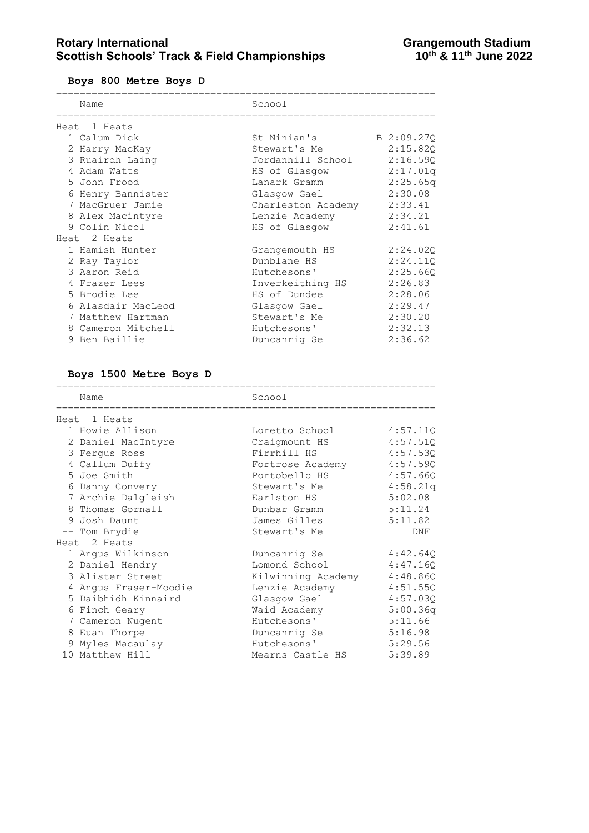#### **Boys 800 Metre Boys D**

| Name               | School             |            |
|--------------------|--------------------|------------|
|                    |                    |            |
| Heat 1 Heats       |                    |            |
| 1 Calum Dick       | St Ninian's        | B 2:09.27Q |
| 2 Harry MacKay     | Stewart's Me       | 2:15.82Q   |
| 3 Ruairdh Laing    | Jordanhill School  | 2:16.59Q   |
| 4 Adam Watts       | HS of Glasgow      | 2:17.01q   |
| 5 John Frood       | Lanark Gramm       | 2:25.65q   |
| 6 Henry Bannister  | Glasgow Gael       | 2:30.08    |
| 7 MacGruer Jamie   | Charleston Academy | 2:33.41    |
| 8 Alex Macintyre   | Lenzie Academy     | 2:34.21    |
| 9 Colin Nicol      | HS of Glasgow      | 2:41.61    |
| Heat 2 Heats       |                    |            |
| 1 Hamish Hunter    | Grangemouth HS     | 2:24.020   |
| 2 Ray Taylor       | Dunblane HS        | 2:24.110   |
| 3 Aaron Reid       | Hutchesons'        | 2:25.66Q   |
| 4 Frazer Lees      | Inverkeithing HS   | 2:26.83    |
| 5 Brodie Lee       | HS of Dundee       | 2:28.06    |
| 6 Alasdair MacLeod | Glasgow Gael       | 2:29.47    |
| 7 Matthew Hartman  | Stewart's Me       | 2:30.20    |
| 8 Cameron Mitchell | Hutchesons'        | 2:32.13    |
| 9 Ben Baillie      | Duncanrig Se       | 2:36.62    |

### **Boys 1500 Metre Boys D**

| ___________________           |                    |          |
|-------------------------------|--------------------|----------|
| Name                          | School             |          |
| =============<br>Heat 1 Heats |                    |          |
| 1 Howie Allison               | Loretto School     | 4:57.110 |
| 2 Daniel MacIntyre            | Craigmount HS      | 4:57.51Q |
| 3 Ferqus Ross                 | Firrhill HS        | 4:57.53Q |
| 4 Callum Duffy                | Fortrose Academy   | 4:57.59Q |
| 5 Joe Smith                   | Portobello HS      | 4:57.66Q |
| 6 Danny Convery               | Stewart's Me       | 4:58.21q |
| 7 Archie Dalgleish            | Earlston HS        | 5:02.08  |
| 8 Thomas Gornall              | Dunbar Gramm       | 5:11.24  |
| 9 Josh Daunt                  | James Gilles       | 5:11.82  |
| -- Tom Brydie                 | Stewart's Me       | DNF      |
| Heat 2 Heats                  |                    |          |
| 1 Angus Wilkinson             | Duncanrig Se       | 4:42.64Q |
| 2 Daniel Hendry               | Lomond School      | 4:47.16Q |
| 3 Alister Street              | Kilwinning Academy | 4:48.86Q |
| 4 Angus Fraser-Moodie         | Lenzie Academy     | 4:51.55Q |
| 5 Daibhidh Kinnaird           | Glasgow Gael       | 4:57.03Q |
| 6 Finch Geary                 | Waid Academy       | 5:00.36q |
| 7 Cameron Nugent              | Hutchesons'        | 5:11.66  |
| 8 Euan Thorpe                 | Duncanrig Se       | 5:16.98  |
| 9 Myles Macaulay              | Hutchesons'        | 5:29.56  |
| 10 Matthew Hill               | Mearns Castle HS   | 5:39.89  |
|                               |                    |          |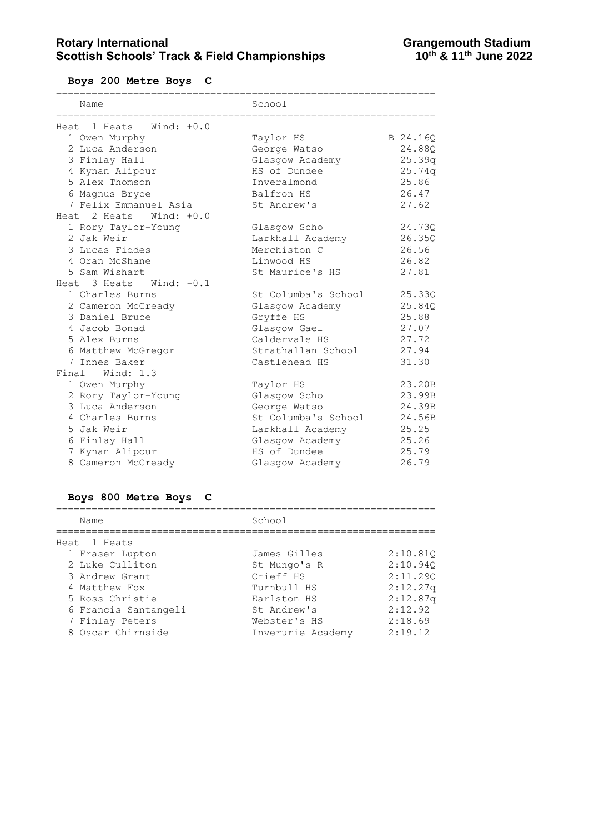**Boys 200 Metre Boys C**

| Name                        | School              |          |
|-----------------------------|---------------------|----------|
|                             |                     |          |
| Heat 1 Heats Wind: $+0.0$   |                     |          |
| 1 Owen Murphy               | Taylor HS           | B 24.16Q |
| 2 Luca Anderson             | George Watso        | 24.88Q   |
| 3 Finlay Hall               | Glasgow Academy     | 25.39q   |
| 4 Kynan Alipour             | HS of Dundee        | 25.74q   |
| 5 Alex Thomson              | Inveralmond         | 25.86    |
| 6 Magnus Bryce              | Balfron HS          | 26.47    |
| 7 Felix Emmanuel Asia       | St Andrew's         | 27.62    |
| Heat 2 Heats Wind: $+0.0$   |                     |          |
| 1 Rory Taylor-Young         | Glasgow Scho        | 24.730   |
| 2 Jak Weir                  | Larkhall Academy    | 26.35Q   |
| 3 Lucas Fiddes              | Merchiston C        | 26.56    |
| 4 Oran McShane              | Linwood HS          | 26.82    |
| 5 Sam Wishart               | St Maurice's HS     | 27.81    |
| Heat $3$ Heats Wind: $-0.1$ |                     |          |
| 1 Charles Burns             | St Columba's School | 25.33Q   |
| 2 Cameron McCready          | Glasgow Academy     | 25.84Q   |
| 3 Daniel Bruce              | Gryffe HS           | 25.88    |
| 4 Jacob Bonad               | Glasgow Gael        | 27.07    |
| 5 Alex Burns                | Caldervale HS       | 27.72    |
| 6 Matthew McGregor          | Strathallan School  | 27.94    |
| 7 Innes Baker               | Castlehead HS       | 31.30    |
| Final Wind: 1.3             |                     |          |
| 1 Owen Murphy               | Taylor HS           | 23.20B   |
| 2 Rory Taylor-Young         | Glasgow Scho        | 23.99B   |
| 3 Luca Anderson             | George Watso        | 24.39B   |
| 4 Charles Burns             | St Columba's School | 24.56B   |
| 5 Jak Weir                  | Larkhall Academy    | 25.25    |
| 6 Finlay Hall               | Glasgow Academy     | 25.26    |
| 7 Kynan Alipour             | HS of Dundee        | 25.79    |
| 8 Cameron McCready          | Glasgow Academy     | 26.79    |

# **Boys 800 Metre Boys C**

| Name                 | School            |          |
|----------------------|-------------------|----------|
| Heat 1 Heats         |                   |          |
| 1 Fraser Lupton      | James Gilles      | 2:10.810 |
| 2 Luke Culliton      | St Mungo's R      | 2:10.940 |
| 3 Andrew Grant       | Crieff HS         | 2:11.290 |
| 4 Matthew Fox        | Turnbull HS       | 2:12.27q |
| 5 Ross Christie      | Earlston HS       | 2:12.87q |
| 6 Francis Santangeli | St Andrew's       | 2:12.92  |
| 7 Finlay Peters      | Webster's HS      | 2:18.69  |
| 8 Oscar Chirnside    | Inverurie Academy | 2:19.12  |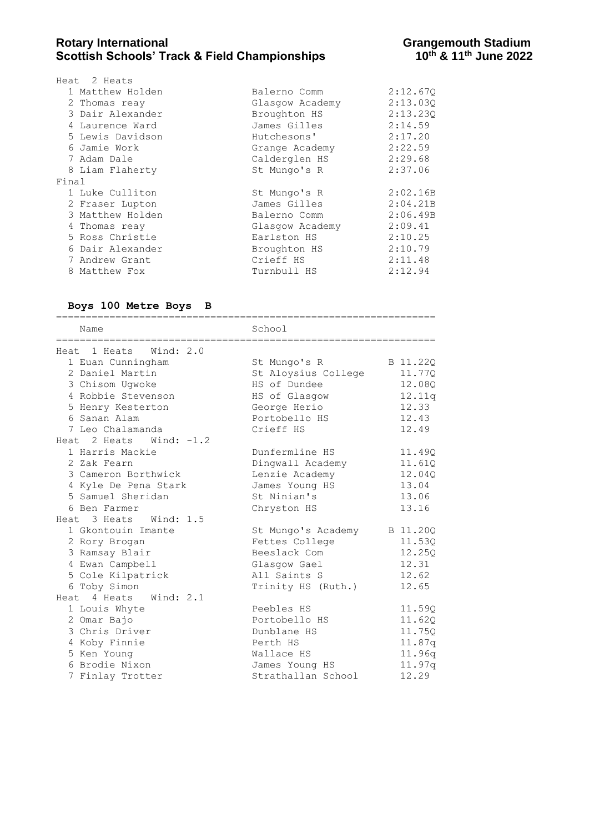## Rotary International **Rotary International**<br>Scottish Schools' Track & Field Championships **Grangemouth Stadium**<br>10<sup>th</sup> & 11<sup>th</sup> June 2022 **Scottish Schools' Track & Field Championships**

| Heat 2 Heats     |                 |          |
|------------------|-----------------|----------|
| 1 Matthew Holden | Balerno Comm    | 2:12.670 |
| 2 Thomas reay    | Glasgow Academy | 2:13.030 |
| 3 Dair Alexander | Broughton HS    | 2:13.230 |
| 4 Laurence Ward  | James Gilles    | 2:14.59  |
| 5 Lewis Davidson | Hutchesons'     | 2:17.20  |
| 6 Jamie Work     | Grange Academy  | 2:22.59  |
| 7 Adam Dale      | Calderglen HS   | 2:29.68  |
| 8 Liam Flaherty  | St Mungo's R    | 2:37.06  |
| Final            |                 |          |
| 1 Luke Culliton  | St Mungo's R    | 2:02.16B |
| 2 Fraser Lupton  | James Gilles    | 2:04.21B |
| 3 Matthew Holden | Balerno Comm    | 2:06.49B |
| 4 Thomas reay    | Glasgow Academy | 2:09.41  |
| 5 Ross Christie  | Earlston HS     | 2:10.25  |
| 6 Dair Alexander | Broughton HS    | 2:10.79  |
| 7 Andrew Grant   | Crieff HS       | 2:11.48  |
| 8 Matthew Fox    | Turnbull HS     | 2:12.94  |
|                  |                 |          |

#### **Boys 100 Metre Boys B**

================================================================ Name School ================================================================ Heat 1 Heats Wind: 2.0 1 Euan Cunningham St Mungo's R B 11.22Q 2 Daniel Martin St Aloysius College 11.77Q 3 Chisom Ugwoke HS of Dundee 12.08Q 4 Robbie Stevenson HS of Glasgow 12.11q 5 Henry Kesterton George Herio 12.33 6 Sanan Alam Portobello HS 12.43 7 Leo Chalamanda Crieff HS 12.49 Heat 2 Heats Wind: -1.2 1 Harris Mackie Dunfermline HS 11.49Q 2 Zak Fearn Dingwall Academy 11.61Q 3 Cameron Borthwick Lenzie Academy 12.04Q 4 Kyle De Pena Stark James Young HS 13.04 5 Samuel Sheridan St Ninian's 13.06 6 Ben Farmer Chryston HS 13.16 Heat 3 Heats Wind: 1.5 1 Gkontouin Imante St Mungo's Academy B 11.20Q 2 Rory Brogan Fettes College 11.53Q 3 Ramsay Blair Beeslack Com 12.25Q 4 Ewan Campbell Glasgow Gael 12.31 5 Cole Kilpatrick All Saints S 12.62 6 Toby Simon Trinity HS (Ruth.) 12.65 Heat 4 Heats Wind: 2.1 1 Louis Whyte Peebles HS 11.59Q 2 Omar Bajo Portobello HS 11.62Q 3 Chris Driver Dunblane HS 11.75Q 4 Koby Finnie Perth HS 11.87q 5 Ken Young Wallace HS 11.96q 6 Brodie Nixon James Young HS 11.97q 7 Finlay Trotter Strathallan School 12.29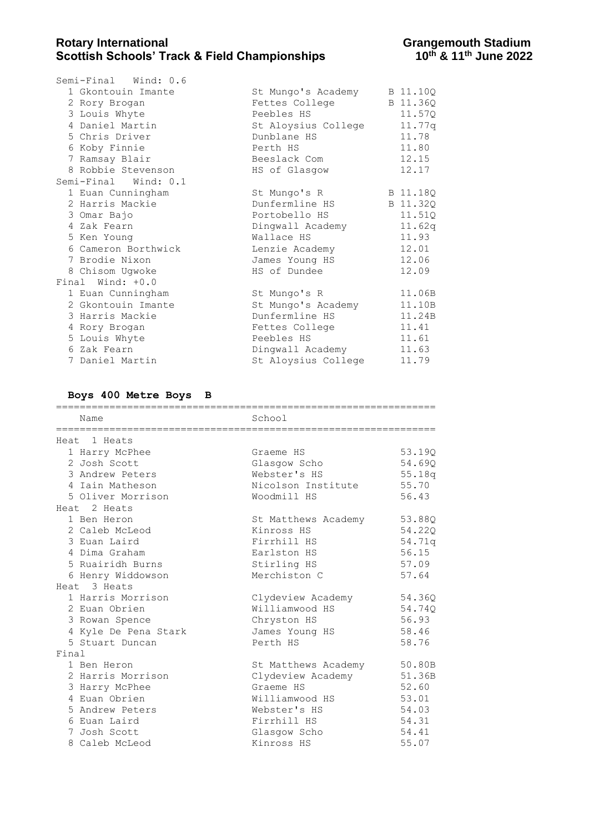| Semi-Final Wind: 0.6 |                     |          |
|----------------------|---------------------|----------|
| 1 Gkontouin Imante   | St Mungo's Academy  | B 11.10Q |
| 2 Rory Brogan        | Fettes College      | B 11.36Q |
| 3 Louis Whyte        | Peebles HS          | 11.57Q   |
| 4 Daniel Martin      | St Aloysius College | 11.77g   |
| 5 Chris Driver       | Dunblane HS         | 11.78    |
| 6 Koby Finnie        | Perth HS            | 11.80    |
| 7 Ramsay Blair       | Beeslack Com        | 12.15    |
| 8 Robbie Stevenson   | HS of Glasqow       | 12.17    |
| Semi-Final Wind: 0.1 |                     |          |
| 1 Euan Cunningham    | St Mungo's R        | B 11.18Q |
| 2 Harris Mackie      | Dunfermline HS      | B 11.32Q |
| 3 Omar Bajo          | Portobello HS       | 11.51Q   |
| 4 Zak Fearn          | Dingwall Academy    | 11.62q   |
| 5 Ken Young          | Wallace HS          | 11.93    |
| 6 Cameron Borthwick  | Lenzie Academy      | 12.01    |
| 7 Brodie Nixon       | James Young HS      | 12.06    |
| 8 Chisom Ugwoke      | HS of Dundee        | 12.09    |
| Final Wind: +0.0     |                     |          |
| 1 Euan Cunningham    | St Mungo's R        | 11.06B   |
| 2 Gkontouin Imante   | St Mungo's Academy  | 11.10B   |
| 3 Harris Mackie      | Dunfermline HS      | 11.24B   |
| 4 Rory Brogan        | Fettes College      | 11.41    |
| 5 Louis Whyte        | Peebles HS          | 11.61    |
| 6 Zak Fearn          | Dingwall Academy    | 11.63    |
| 7 Daniel Martin      | St Aloysius College | 11.79    |

#### **Boys 400 Metre Boys B**

|       | Name                 | School              |        |
|-------|----------------------|---------------------|--------|
|       | Heat 1 Heats         |                     |        |
|       | 1 Harry McPhee       | Graeme HS           | 53.19Q |
|       | 2 Josh Scott         | Glasgow Scho        | 54.69Q |
|       | 3 Andrew Peters      | Webster's HS        | 55.18q |
|       | 4 Iain Matheson      | Nicolson Institute  | 55.70  |
|       | 5 Oliver Morrison    | Woodmill HS         | 56.43  |
|       | Heat 2 Heats         |                     |        |
|       | 1 Ben Heron          | St Matthews Academy | 53.88Q |
|       | 2 Caleb McLeod       | Kinross HS          | 54.22Q |
|       | 3 Euan Laird         | Firrhill HS         | 54.71q |
|       | 4 Dima Graham        | Earlston HS         | 56.15  |
|       | 5 Ruairidh Burns     | Stirling HS         | 57.09  |
|       | 6 Henry Widdowson    | Merchiston C        | 57.64  |
|       | Heat 3 Heats         |                     |        |
|       | 1 Harris Morrison    | Clydeview Academy   | 54.360 |
|       | 2 Euan Obrien        | Williamwood HS      | 54.740 |
|       | 3 Rowan Spence       | Chryston HS         | 56.93  |
|       | 4 Kyle De Pena Stark | James Young HS      | 58.46  |
|       | 5 Stuart Duncan      | Perth HS            | 58.76  |
| Final |                      |                     |        |
|       | 1 Ben Heron          | St Matthews Academy | 50.80B |
|       | 2 Harris Morrison    | Clydeview Academy   | 51.36B |
|       | 3 Harry McPhee       | Graeme HS           | 52.60  |
|       | 4 Euan Obrien        | Williamwood HS      | 53.01  |
|       | 5 Andrew Peters      | Webster's HS        | 54.03  |
|       | 6 Euan Laird         | Firrhill HS         | 54.31  |
|       | 7 Josh Scott         | Glasgow Scho        | 54.41  |
|       | 8 Caleb McLeod       | Kinross HS          | 55.07  |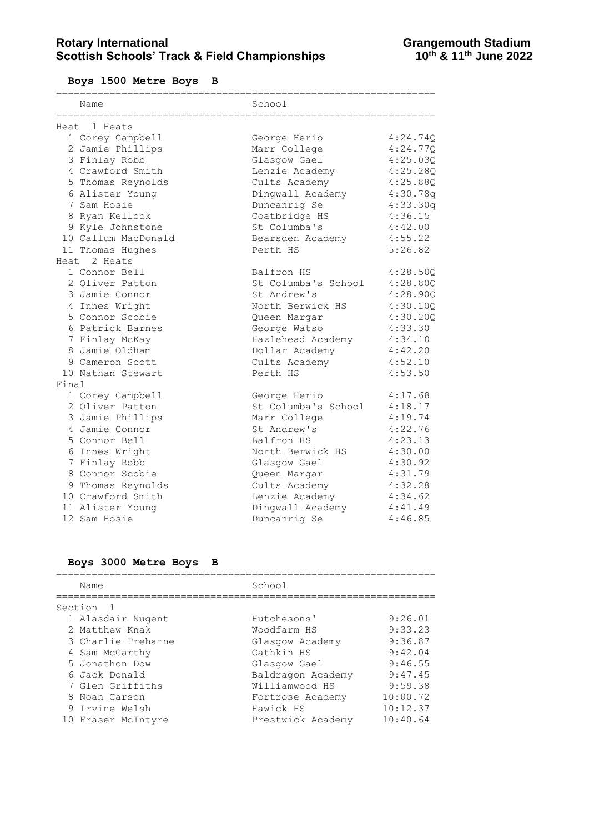**Boys 1500 Metre Boys B**

|       | Name                | School              |          |
|-------|---------------------|---------------------|----------|
|       | Heat, 1 Heats       |                     |          |
|       | 1 Corey Campbell    | George Herio        | 4:24.74Q |
|       | 2 Jamie Phillips    | Marr College        | 4:24.77Q |
|       | 3 Finlay Robb       | Glasgow Gael        | 4:25.03Q |
|       | 4 Crawford Smith    | Lenzie Academy      | 4:25.28Q |
|       | 5 Thomas Reynolds   | Cults Academy       | 4:25.88Q |
|       | 6 Alister Young     | Dingwall Academy    | 4:30.78q |
|       | 7 Sam Hosie         | Duncanrig Se        | 4:33.30q |
|       | 8 Ryan Kellock      | Coatbridge HS       | 4:36.15  |
|       | 9 Kyle Johnstone    | St Columba's        | 4:42.00  |
|       | 10 Callum MacDonald | Bearsden Academy    | 4:55.22  |
|       | 11 Thomas Hughes    | Perth HS            | 5:26.82  |
|       | Heat 2 Heats        |                     |          |
|       | 1 Connor Bell       | Balfron HS          | 4:28.50Q |
|       | 2 Oliver Patton     | St Columba's School | 4:28.800 |
|       | 3 Jamie Connor      | St Andrew's         | 4:28.90Q |
|       | 4 Innes Wright      | North Berwick HS    | 4:30.10Q |
|       | 5 Connor Scobie     | Queen Margar        | 4:30.20Q |
|       | 6 Patrick Barnes    | George Watso        | 4:33.30  |
|       | 7 Finlay McKay      | Hazlehead Academy   | 4:34.10  |
|       | 8 Jamie Oldham      | Dollar Academy      | 4:42.20  |
|       | 9 Cameron Scott     | Cults Academy       | 4:52.10  |
|       | 10 Nathan Stewart   | Perth HS            | 4:53.50  |
| Final |                     |                     |          |
|       | 1 Corey Campbell    | George Herio        | 4:17.68  |
|       | 2 Oliver Patton     | St Columba's School | 4:18.17  |
|       | 3 Jamie Phillips    | Marr College        | 4:19.74  |
|       | 4 Jamie Connor      | St Andrew's         | 4:22.76  |
|       | 5 Connor Bell       | Balfron HS          | 4:23.13  |
|       | 6 Innes Wright      | North Berwick HS    | 4:30.00  |
|       | 7 Finlay Robb       | Glasgow Gael        | 4:30.92  |
|       | 8 Connor Scobie     | Queen Margar        | 4:31.79  |
|       | 9 Thomas Reynolds   | Cults Academy       | 4:32.28  |
|       | 10 Crawford Smith   | Lenzie Academy      | 4:34.62  |
|       | 11 Alister Young    | Dingwall Academy    | 4:41.49  |
|       | 12 Sam Hosie        | Duncanrig Se        | 4:46.85  |

### **Boys 3000 Metre Boys B**

| Name               | School            |          |
|--------------------|-------------------|----------|
| Section            |                   |          |
| 1 Alasdair Nugent  | Hutchesons'       | 9:26.01  |
| 2 Matthew Knak     | Woodfarm HS       | 9:33.23  |
| 3 Charlie Treharne | Glasgow Academy   | 9:36.87  |
| 4 Sam McCarthy     | Cathkin HS        | 9:42.04  |
| 5 Jonathon Dow     | Glasgow Gael      | 9:46.55  |
| 6 Jack Donald      | Baldragon Academy | 9:47.45  |
| 7 Glen Griffiths   | Williamwood HS    | 9:59.38  |
| 8 Noah Carson      | Fortrose Academy  | 10:00.72 |
| 9 Irvine Welsh     | Hawick HS         | 10:12.37 |
| 10 Fraser McIntyre | Prestwick Academy | 10:40.64 |
|                    |                   |          |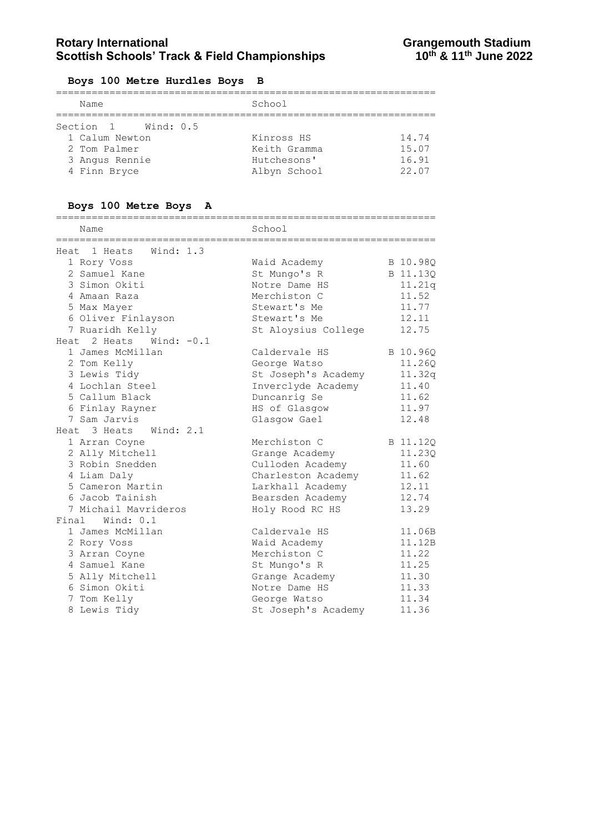## **Boys 100 Metre Hurdles Boys B**

| Name                                                                                       | School                                                    |                                  |  |
|--------------------------------------------------------------------------------------------|-----------------------------------------------------------|----------------------------------|--|
| Wind: 0.5<br>Section 1<br>1 Calum Newton<br>2 Tom Palmer<br>3 Angus Rennie<br>4 Finn Bryce | Kinross HS<br>Keith Gramma<br>Hutchesons'<br>Albyn School | 14.74<br>15.07<br>16.91<br>22.07 |  |

# **Boys 100 Metre Boys A**

| Name                                                                                                                                                                           | School                                                                                                                              |                                                                  |
|--------------------------------------------------------------------------------------------------------------------------------------------------------------------------------|-------------------------------------------------------------------------------------------------------------------------------------|------------------------------------------------------------------|
| =====================================<br>Heat 1 Heats Wind: 1.3                                                                                                                | =========================                                                                                                           |                                                                  |
| 1 Rory Voss<br>2 Samuel Kane<br>3 Simon Okiti                                                                                                                                  | Waid Academy<br>St Mungo's R<br>Notre Dame HS                                                                                       | B 10.98Q<br>B 11.13Q<br>11.21q                                   |
| 4 Amaan Raza<br>5 Max Mayer<br>6 Oliver Finlayson<br>7 Ruaridh Kelly                                                                                                           | Merchiston C<br>Stewart's Me<br>Stewart's Me<br>St Aloysius College                                                                 | 11.52<br>11.77<br>12.11<br>12.75                                 |
| Heat 2 Heats Wind: $-0.1$<br>1 James McMillan<br>2 Tom Kelly<br>3 Lewis Tidy<br>4 Lochlan Steel<br>5 Callum Black<br>6 Finlay Rayner<br>7 Sam Jarvis<br>Heat 3 Heats Wind: 2.1 | Caldervale HS<br>George Watso<br>St Joseph's Academy<br>Inverclyde Academy<br>Duncanrig Se<br>HS of Glasgow<br>Glasgow Gael         | B 10.96Q<br>11.260<br>11.32q<br>11.40<br>11.62<br>11.97<br>12.48 |
| 1 Arran Coyne<br>2 Ally Mitchell<br>3 Robin Snedden<br>4 Liam Daly<br>5 Cameron Martin<br>6 Jacob Tainish<br>7 Michail Mavrideros                                              | Merchiston C<br>Grange Academy<br>Culloden Academy<br>Charleston Academy<br>Larkhall Academy<br>Bearsden Academy<br>Holy Rood RC HS | B 11.12Q<br>11.23Q<br>11.60<br>11.62<br>12.11<br>12.74<br>13.29  |
| Final<br>Wind: 0.1<br>1 James McMillan<br>2 Rory Voss<br>3 Arran Coyne<br>4 Samuel Kane<br>5 Ally Mitchell<br>6 Simon Okiti<br>7 Tom Kelly                                     | Caldervale HS<br>Waid Academy<br>Merchiston C<br>St Mungo's R<br>Grange Academy<br>Notre Dame HS<br>George Watso                    | 11.06B<br>11.12B<br>11.22<br>11.25<br>11.30<br>11.33<br>11.34    |
| 8 Lewis Tidy                                                                                                                                                                   | St Joseph's Academy                                                                                                                 | 11.36                                                            |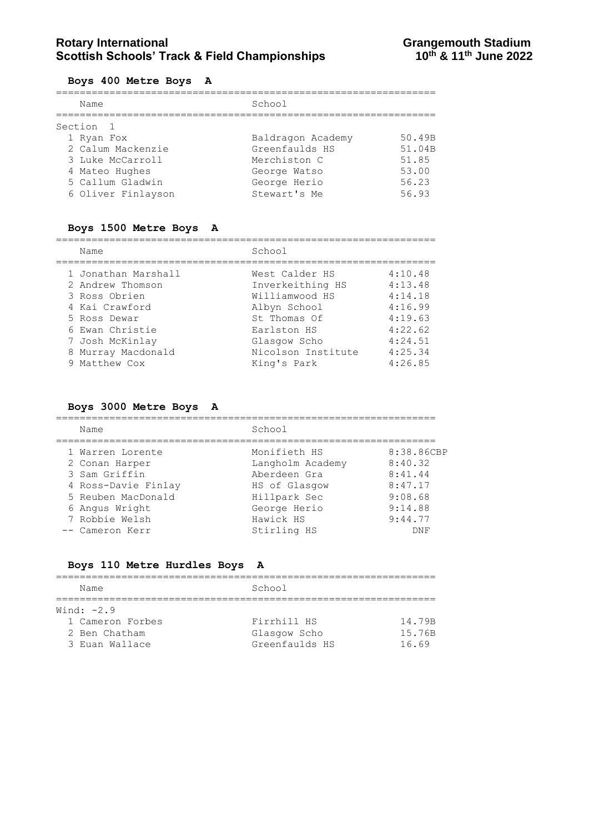# **Rotary International Constrained Bene and Stadium Scottish Schools' Track & Field Championships Constrained Activity**<br>10<sup>th</sup> & 11<sup>th</sup> June 2022 **Scottish Schools' Track & Field Championships**

#### **Boys 400 Metre Boys A**

| Name               | School            |        |
|--------------------|-------------------|--------|
| Section 1          |                   |        |
| 1 Ryan Fox         | Baldragon Academy | 50.49B |
| 2 Calum Mackenzie  | Greenfaulds HS    | 51.04B |
| 3 Luke McCarroll   | Merchiston C      | 51.85  |
| 4 Mateo Hughes     | George Watso      | 53.00  |
| 5 Callum Gladwin   | George Herio      | 56.23  |
| 6 Oliver Finlayson | Stewart's Me      | 56.93  |

### **Boys 1500 Metre Boys A**

| Name                | School             |         |
|---------------------|--------------------|---------|
| 1 Jonathan Marshall | West Calder HS     | 4:10.48 |
| 2 Andrew Thomson    | Inverkeithing HS   | 4:13.48 |
| 3 Ross Obrien       | Williamwood HS     | 4:14.18 |
| 4 Kai Crawford      | Albyn School       | 4:16.99 |
| 5 Ross Dewar        | St. Thomas Of      | 4:19.63 |
| 6 Ewan Christie     | Earlston HS        | 4:22.62 |
| 7 Josh McKinlay     | Glasgow Scho       | 4:24.51 |
| 8 Murray Macdonald  | Nicolson Institute | 4:25.34 |
| 9 Matthew Cox       | King's Park        | 4:26.85 |

### **Boys 3000 Metre Boys A**

| Name                | School           |            |
|---------------------|------------------|------------|
| 1 Warren Lorente    | Monifieth HS     | 8:38.86CBP |
| 2 Conan Harper      | Langholm Academy | 8:40.32    |
| 3 Sam Griffin       | Aberdeen Gra     | 8:41.44    |
| 4 Ross-Davie Finlay | HS of Glasgow    | 8:47.17    |
| 5 Reuben MacDonald  | Hillpark Sec     | 9:08.68    |
| 6 Angus Wright      | George Herio     | 9:14.88    |
| 7 Robbie Welsh      | Hawick HS        | 9:44.77    |
| -- Cameron Kerr     | Stirling HS      | DNF        |

### **Boys 110 Metre Hurdles Boys A**

| Name             | School         |        |
|------------------|----------------|--------|
| Wind: $-2.9$     |                |        |
| 1 Cameron Forbes | Firrhill HS    | 14.79B |
| 2 Ben Chatham    | Glasgow Scho   | 15.76B |
| 3 Euan Wallace   | Greenfaulds HS | 1669   |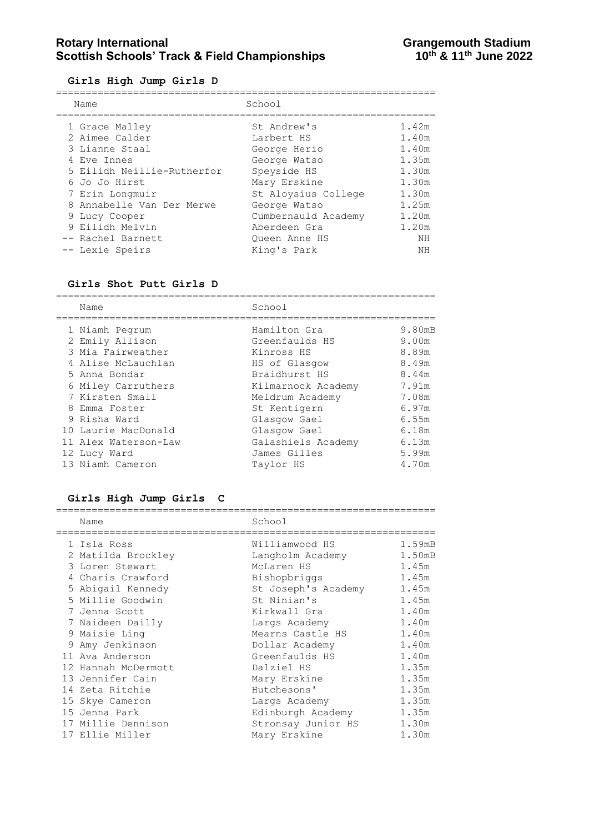### Rotary International **Rotary International**<br>Scottish Schools' Track & Field Championships **Grangemouth Stadium**<br>10<sup>th</sup> & 11<sup>th</sup> June 2022 **Scottish Schools' Track & Field Championships**

**Girls High Jump Girls D**

| Name                       | School              |       |
|----------------------------|---------------------|-------|
| 1 Grace Malley             | St Andrew's         | 1.42m |
| 2 Aimee Calder             | Larbert HS          | 1.40m |
| 3 Lianne Staal             | George Herio        | 1.40m |
| 4 Eve Innes                | George Watso        | 1.35m |
| 5 Eilidh Neillie-Rutherfor | Speyside HS         | 1.30m |
| 6 Jo Jo Hirst              | Mary Erskine        | 1.30m |
| 7 Erin Longmuir            | St Aloysius College | 1.30m |
| 8 Annabelle Van Der Merwe  | George Watso        | 1.25m |
| 9 Lucy Cooper              | Cumbernauld Academy | 1.20m |
| 9 Eilidh Melvin            | Aberdeen Gra        | 1.20m |
| -- Rachel Barnett          | Oueen Anne HS       | NΗ    |
| -- Lexie Speirs            | King's Park         | NΗ    |
|                            |                     |       |

#### **Girls Shot Putt Girls D**

================================================================ Name School ================================================================ 1 Niamh Pegrum Hamilton Gra 9.80mB 2 Emily Allison Greenfaulds HS 9.00m 3 Mia Fairweather  $\sim$  Kinross HS 8.89m 4 Alise McLauchlan HS of Glasgow 8.49m 5 Anna Bondar Braidhurst HS 8.44m 6 Miley Carruthers Kilmarnock Academy 7.91m 7 Kirsten Small Meldrum Academy 7.08m 8 Emma Foster St Kentigern 6.97m 9 Risha Ward Glasgow Gael 6.55m 10 Laurie MacDonald Glasgow Gael 6.18m 11 Alex Waterson-Law Galashiels Academy 6.13m 12 Lucy Ward James Gilles 5.99m 13 Niamh Cameron Taylor HS 4.70m

#### **Girls High Jump Girls C**

| Name                | School              |        |
|---------------------|---------------------|--------|
| 1 Isla Ross         | Williamwood HS      | 1.59mB |
| 2 Matilda Brockley  | Langholm Academy    | 1.50mB |
| 3 Loren Stewart     | McLaren HS          | 1.45m  |
| 4 Charis Crawford   | Bishopbriggs        | 1.45m  |
| 5 Abigail Kennedy   | St Joseph's Academy | 1.45m  |
| 5 Millie Goodwin    | St Ninian's         | 1.45m  |
| 7 Jenna Scott       | Kirkwall Gra        | 1.40m  |
| 7 Naideen Dailly    | Largs Academy       | 1.40m  |
| 9 Maisie Ling       | Mearns Castle HS    | 1.40m  |
| 9 Amy Jenkinson     | Dollar Academy      | 1.40m  |
| 11 Ava Anderson     | Greenfaulds HS      | 1.40m  |
| 12 Hannah McDermott | Dalziel HS          | 1.35m  |
| 13 Jennifer Cain    | Mary Erskine        | 1.35m  |
| 14 Zeta Ritchie     | Hutchesons'         | 1.35m  |
| 15 Skye Cameron     | Largs Academy       | 1.35m  |
| 15 Jenna Park       | Edinburgh Academy   | 1.35m  |
| 17 Millie Dennison  | Stronsay Junior HS  | 1.30m  |
| 17 Ellie Miller     | Mary Erskine        | 1.30m  |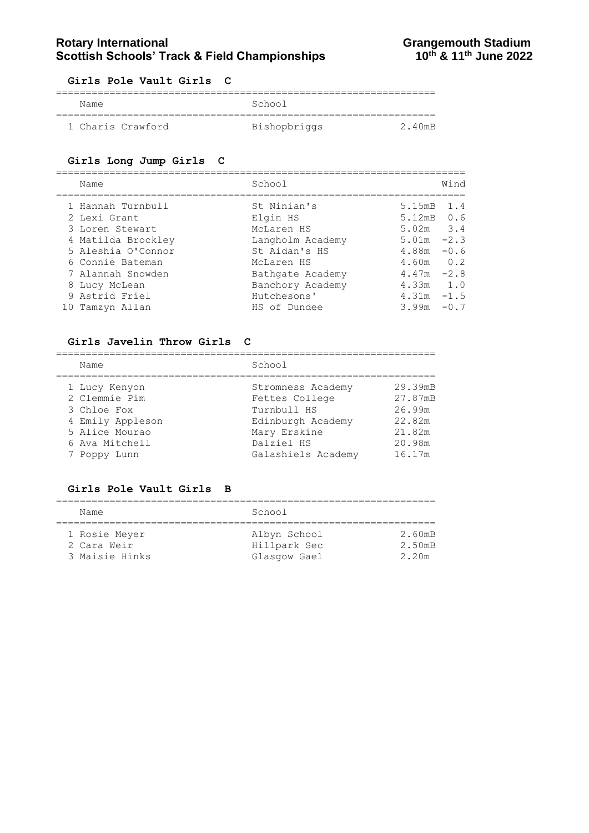#### **Girls Pole Vault Girls C**

| Name              | School       |        |
|-------------------|--------------|--------|
|                   |              |        |
| 1 Charis Crawford | Bishopbriggs | 2 40mB |

#### **Girls Long Jump Girls C**

| Name                                                                                                                 | School                                                                                   |                                                                                      | Wind                    |
|----------------------------------------------------------------------------------------------------------------------|------------------------------------------------------------------------------------------|--------------------------------------------------------------------------------------|-------------------------|
| 1 Hannah Turnbull<br>2 Lexi Grant<br>3 Loren Stewart<br>4 Matilda Brockley<br>5 Aleshia O'Connor<br>6 Connie Bateman | St Ninian's<br>Elgin HS<br>McLaren HS<br>Langholm Academy<br>St Aidan's HS<br>McLaren HS | 5.15mB 1.4<br>$5.12 \text{mB}$ 0.6<br>$5.02m$ 3.4<br>5.01m<br>4.88m<br>$4.60m$ $0.2$ | $-2.3$<br>$-0.6$        |
| 7 Alannah Snowden<br>8 Lucy McLean<br>9 Astrid Friel<br>10 Tamzyn Allan                                              | Bathgate Academy<br>Banchory Academy<br>Hutchesons'<br>HS of Dundee                      | $4.47m -2.8$<br>4.33m<br>4.31m<br>3.99m                                              | 1.0<br>$-1.5$<br>$-0.7$ |

#### **Girls Javelin Throw Girls C**

| Name             | School             |         |
|------------------|--------------------|---------|
| 1 Lucy Kenyon    | Stromness Academy  | 29.39mB |
| 2 Clemmie Pim    | Fettes College     | 27.87mB |
| 3 Chloe Fox      | Turnbull HS        | 26.99m  |
| 4 Emily Appleson | Edinburgh Academy  | 22.82m  |
| 5 Alice Mourao   | Mary Erskine       | 21.82m  |
| 6 Ava Mitchell   | Dalziel HS         | 20.98m  |
| 7 Poppy Lunn     | Galashiels Academy | 16.17m  |

### **Girls Pole Vault Girls B**

| Name           | School       |        |
|----------------|--------------|--------|
|                |              |        |
| 1 Rosie Meyer  | Albyn School | 2.60mB |
| 2 Cara Weir    | Hillpark Sec | 2.50mB |
| 3 Maisie Hinks | Glasgow Gael | 2.20m  |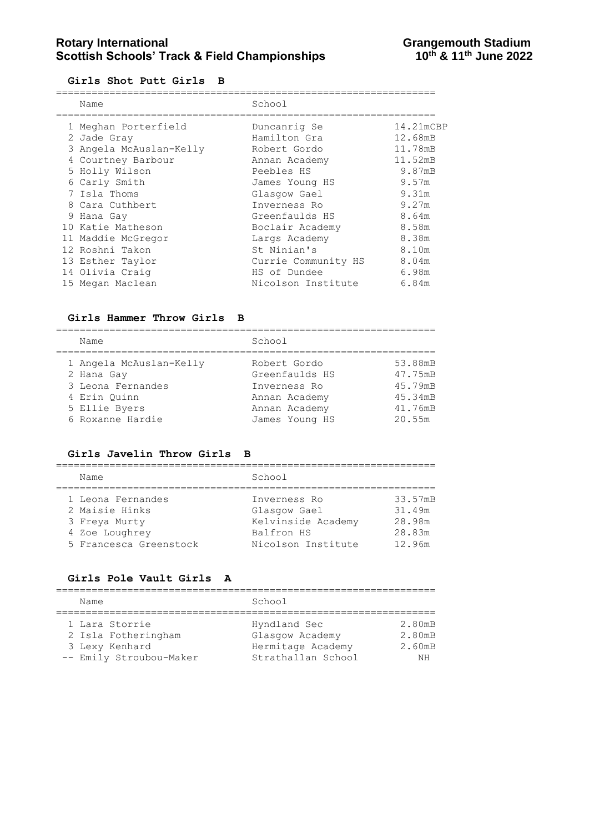#### **Girls Shot Putt Girls B**

| Name                    | School              |           |
|-------------------------|---------------------|-----------|
| 1 Meghan Porterfield    | Duncanrig Se        | 14.21mCBP |
| 2 Jade Gray             | Hamilton Gra        | 12.68mB   |
| 3 Angela McAuslan-Kelly | Robert Gordo        | 11.78mB   |
| 4 Courtney Barbour      | Annan Academy       | 11.52mB   |
| 5 Holly Wilson          | Peebles HS          | 9.87mB    |
| 6 Carly Smith           | James Young HS      | 9.57m     |
| 7 Isla Thoms            | Glasgow Gael        | 9.31m     |
| 8 Cara Cuthbert         | Inverness Ro        | 9.27m     |
| 9 Hana Gay              | Greenfaulds HS      | 8.64m     |
| 10 Katie Matheson       | Boclair Academy     | 8.58m     |
| 11 Maddie McGregor      | Largs Academy       | 8.38m     |
| 12 Roshni Takon         | St Ninian's         | 8.10m     |
| 13 Esther Taylor        | Currie Community HS | 8.04m     |
| 14 Olivia Craig         | HS of Dundee        | 6.98m     |
| 15 Megan Maclean        | Nicolson Institute  | 6.84m     |

#### **Girls Hammer Throw Girls B**

================================================================ Name School

|  | 1 Angela McAuslan-Kelly | Robert Gordo   | 53.88mB |
|--|-------------------------|----------------|---------|
|  | 2 Hana Gay              | Greenfaulds HS | 47.75mB |
|  | 3 Leona Fernandes       | Inverness Ro   | 45.79mB |
|  | 4 Erin Ouinn            | Annan Academy  | 45.34mB |
|  | 5 Ellie Byers           | Annan Academy  | 41.76mB |
|  | 6 Roxanne Hardie        | James Young HS | 20.55m  |
|  |                         |                |         |

#### **Girls Javelin Throw Girls B**

| Name                                                                                             | School                                                                                 |                                                 |
|--------------------------------------------------------------------------------------------------|----------------------------------------------------------------------------------------|-------------------------------------------------|
| 1 Leona Fernandes<br>2 Maisie Hinks<br>3 Freya Murty<br>4 Zoe Loughrey<br>5 Francesca Greenstock | Inverness Ro<br>Glasgow Gael<br>Kelvinside Academy<br>Balfron HS<br>Nicolson Institute | 33.57mB<br>31.49m<br>28.98m<br>28.83m<br>12.96m |

#### **Girls Pole Vault Girls A**

| Name                    | School             |        |
|-------------------------|--------------------|--------|
|                         |                    |        |
| 1 Lara Storrie          | Hyndland Sec       | 2.80mB |
| 2 Isla Fotheringham     | Glasgow Academy    | 2.80mB |
| 3 Lexy Kenhard          | Hermitage Academy  | 2.60mB |
| -- Emily Stroubou-Maker | Strathallan School | NH     |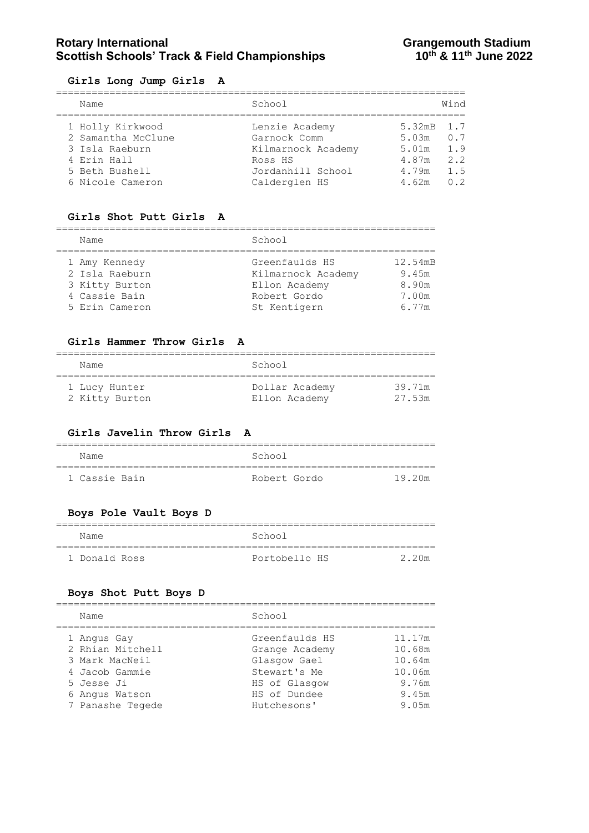# **Rotary International Constrained Bene and Stadium Stadium Stadium Stadium Stadium Stadium Stadium Stadium Stadium Stadium Stadium Stadium Stadium Stadium Stadium Stadium Stadium Stadium Stadium Stadium Stadium Stadium Sta Scottish Schools' Track & Field Championships**

#### **Girls Long Jump Girls A**

| Name                                   | School                             |                           | Wind       |
|----------------------------------------|------------------------------------|---------------------------|------------|
| 1 Holly Kirkwood<br>2 Samantha McClune | Lenzie Academy<br>Garnock Comm     | 5.32mB 1.7<br>$5.03m$ 0.7 |            |
| 3 Isla Raeburn<br>4 Erin Hall          | Kilmarnock Academy<br>Ross HS      | 5.01m<br>4.87m            | 1.9<br>2.2 |
| 5 Beth Bushell<br>6 Nicole Cameron     | Jordanhill School<br>Calderglen HS | 4.79m<br>4.62m            | 1.5<br>0.2 |

#### **Girls Shot Putt Girls A**

| Name           | School             |         |  |
|----------------|--------------------|---------|--|
| 1 Amy Kennedy  | Greenfaulds HS     | 12.54mB |  |
| 2 Isla Raeburn | Kilmarnock Academy | 9.45m   |  |
| 3 Kitty Burton | Ellon Academy      | 8.90m   |  |
| 4 Cassie Bain  | Robert Gordo       | 7.00m   |  |
| 5 Erin Cameron | St Kentigern       | 6.77m   |  |
|                |                    |         |  |

#### **Girls Hammer Throw Girls A**

| Name           | School         |        |
|----------------|----------------|--------|
| 1 Lucy Hunter  | Dollar Academy | 39.71m |
| 2 Kitty Burton | Ellon Academy  | 27.53m |

#### **Girls Javelin Throw Girls A**

| Name          | School       |        |
|---------------|--------------|--------|
|               |              |        |
| 1 Cassie Bain | Robert Gordo | 19.20m |

#### **Boys Pole Vault Boys D**

| Name          | School        |       |
|---------------|---------------|-------|
| 1 Donald Ross | Portobello HS | 2.20m |

#### **Boys Shot Putt Boys D**

| Name             | School         |        |  |  |
|------------------|----------------|--------|--|--|
| 1 Angus Gay      | Greenfaulds HS | 11.17m |  |  |
| 2 Rhian Mitchell | Grange Academy | 10.68m |  |  |
| 3 Mark MacNeil   | Glasgow Gael   | 10.64m |  |  |
| 4 Jacob Gammie   | Stewart's Me   | 10.06m |  |  |
| 5 Jesse Ji       | HS of Glasgow  | 9.76m  |  |  |
| 6 Angus Watson   | HS of Dundee   | 9.45m  |  |  |
| 7 Panashe Tegede | Hutchesons'    | 9.05m  |  |  |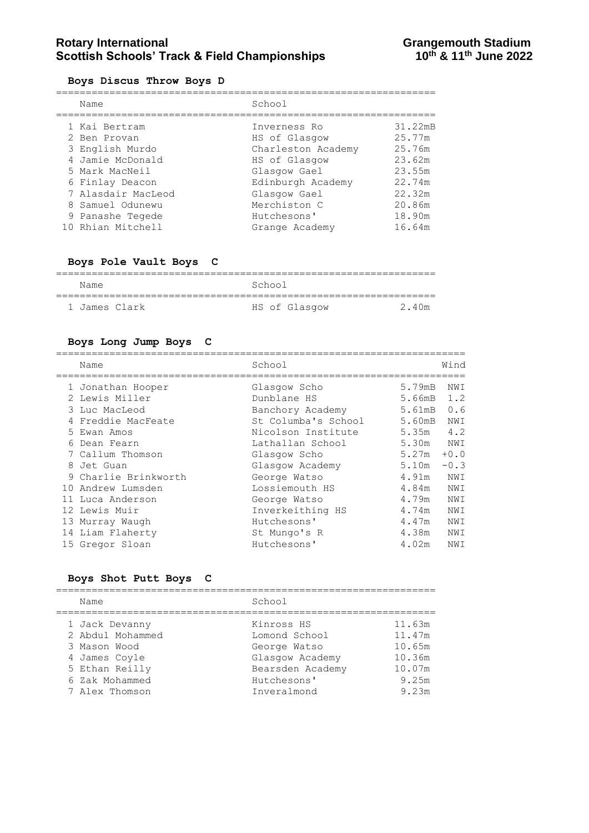# **Rotary International Constrained Bene and Stadium Scottish Schools' Track & Field Championships Constrained Activity**<br>10<sup>th</sup> & 11<sup>th</sup> June 2022 **Scottish Schools' Track & Field Championships**

#### **Boys Discus Throw Boys D**

| Name               | School             |         |
|--------------------|--------------------|---------|
| 1 Kai Bertram      | Inverness Ro       | 31.22mB |
| 2 Ben Provan       | HS of Glasgow      | 25.77m  |
| 3 English Murdo    | Charleston Academy | 25.76m  |
| 4 Jamie McDonald   | HS of Glasgow      | 23.62m  |
| 5 Mark MacNeil     | Glasgow Gael       | 23.55m  |
| 6 Finlay Deacon    | Edinburgh Academy  | 22.74m  |
| 7 Alasdair MacLeod | Glasgow Gael       | 22.32m  |
| 8 Samuel Odunewu   | Merchiston C       | 20.86m  |
| 9 Panashe Tegede   | Hutchesons'        | 18.90m  |
| 10 Rhian Mitchell  | Grange Academy     | 16.64m  |

### **Boys Pole Vault Boys C**

|               | _______       |      |
|---------------|---------------|------|
| Name          | School        |      |
| 1 James Clark | HS of Glasgow | 240m |

### **Boys Long Jump Boys C**

| Name                 | School              |                  | Wind   |
|----------------------|---------------------|------------------|--------|
| 1 Jonathan Hooper    | Glasgow Scho        | 5.79mB           | NWI    |
| 2 Lewis Miller       | Dunblane HS         | 5.66mB           | 1.2    |
| 3 Luc MacLeod        | Banchory Academy    | $5.61 \text{mB}$ | 0.6    |
| 4 Freddie MacFeate   | St Columba's School | 5.60mB           | NWI    |
| 5 Ewan Amos          | Nicolson Institute  | 5.35m            | 4.2    |
| 6 Dean Fearn         | Lathallan School    | 5.30m NWI        |        |
| 7 Callum Thomson     | Glasgow Scho        | 5.27m            | $+0.0$ |
| 8 Jet Guan           | Glasgow Academy     | 5.10m            | $-0.3$ |
| 9 Charlie Brinkworth | George Watso        | 4.91m            | NWI    |
| 10 Andrew Lumsden    | Lossiemouth HS      | 4.84m            | NWI    |
| 11 Luca Anderson     | George Watso        | 4.79m            | NWI    |
| 12 Lewis Muir        | Inverkeithing HS    | 4.74m            | NWI    |
| 13 Murray Waugh      | Hutchesons'         | 4.47m            | NWI    |
| 14 Liam Flaherty     | St Mungo's R        | 4.38m            | NWI    |
| 15 Gregor Sloan      | Hutchesons'         | 4.02m            | NWI    |
|                      |                     |                  |        |

#### **Boys Shot Putt Boys C**

| Name             | School           |        |
|------------------|------------------|--------|
| 1 Jack Devanny   | Kinross HS       | 11.63m |
| 2 Abdul Mohammed | Lomond School    | 11.47m |
| 3 Mason Wood     | George Watso     | 10.65m |
| 4 James Coyle    | Glasgow Academy  | 10.36m |
| 5 Ethan Reilly   | Bearsden Academy | 10.07m |
| 6 Zak Mohammed   | Hutchesons'      | 9.25m  |
| 7 Alex Thomson   | Inveralmond      | 9.23m  |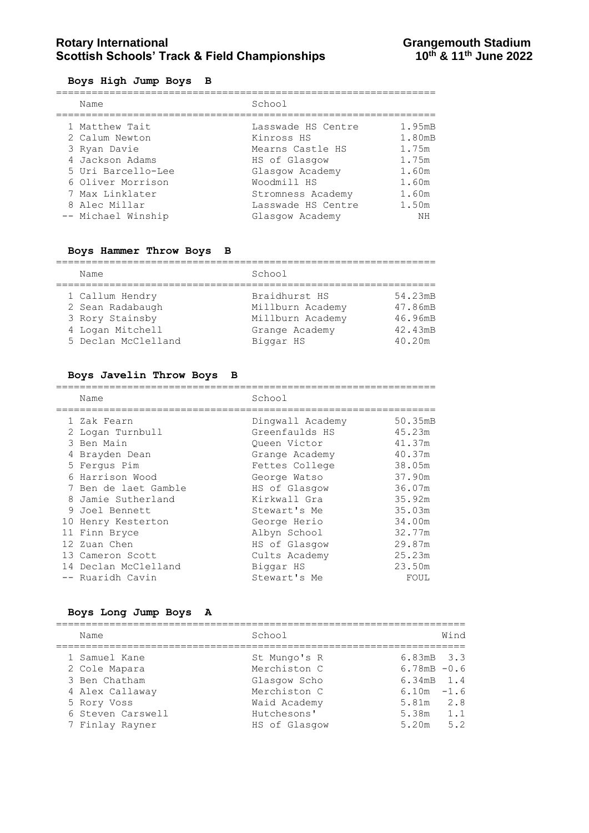# **Rotary International Constrained Bene and Stadium Scottish Schools' Track & Field Championships Constrained Activity**<br>10<sup>th</sup> & 11<sup>th</sup> June 2022 **Scottish Schools' Track & Field Championships**

#### **Boys High Jump Boys B**

| Name               | School             |           |
|--------------------|--------------------|-----------|
| 1 Matthew Tait     | Lasswade HS Centre | 1.95mB    |
| 2 Calum Newton     | Kinross HS         | 1.80mB    |
| 3 Ryan Davie       | Mearns Castle HS   | 1.75m     |
| 4 Jackson Adams    | HS of Glasgow      | 1.75m     |
| 5 Uri Barcello-Lee | Glasgow Academy    | 1.60m     |
| 6 Oliver Morrison  | Woodmill HS        | 1.60m     |
| 7 Max Linklater    | Stromness Academy  | 1.60m     |
| 8 Alec Millar      | Lasswade HS Centre | 1.50m     |
| -- Michael Winship | Glasgow Academy    | <b>NH</b> |

# **Boys Hammer Throw Boys B**

| Name                                                                                              | School                                                                               |                                                    |
|---------------------------------------------------------------------------------------------------|--------------------------------------------------------------------------------------|----------------------------------------------------|
| 1 Callum Hendry<br>2 Sean Radabaugh<br>3 Rory Stainsby<br>4 Logan Mitchell<br>5 Declan McClelland | Braidhurst HS<br>Millburn Academy<br>Millburn Academy<br>Grange Academy<br>Biggar HS | 54.23mB<br>47.86mB<br>46.96mB<br>42.43mB<br>40.20m |

#### **Boys Javelin Throw Boys B**

| Name                 | School           |         |
|----------------------|------------------|---------|
| 1 Zak Fearn          | Dingwall Academy | 50.35mB |
| 2 Logan Turnbull     | Greenfaulds HS   | 45.23m  |
| 3 Ben Main           | Queen Victor     | 41.37m  |
| 4 Brayden Dean       | Grange Academy   | 40.37m  |
| 5 Ferqus Pim         | Fettes College   | 38.05m  |
| 6 Harrison Wood      | George Watso     | 37.90m  |
| 7 Ben de laet Gamble | HS of Glasgow    | 36.07m  |
| 8 Jamie Sutherland   | Kirkwall Gra     | 35.92m  |
| 9 Joel Bennett       | Stewart's Me     | 35.03m  |
| 10 Henry Kesterton   | George Herio     | 34.00m  |
| 11 Finn Bryce        | Albyn School     | 32.77m  |
| 12 Zuan Chen         | HS of Glasgow    | 29.87m  |
| 13 Cameron Scott     | Cults Academy    | 25.23m  |
| 14 Declan McClelland | Biggar HS        | 23.50m  |
| -- Ruaridh Cavin     | Stewart's Me     | FOUL    |

### **Boys Long Jump Boys A**

| Name              | School        | Wind           |
|-------------------|---------------|----------------|
| 1 Samuel Kane     | St Mungo's R  | 6.83mB 3.3     |
| 2 Cole Mapara     | Merchiston C  | $6.78mB - 0.6$ |
| 3 Ben Chatham     | Glasgow Scho  | 6.34mB 1.4     |
| 4 Alex Callaway   | Merchiston C  | $6.10m - 1.6$  |
| 5 Rory Voss       | Waid Academy  | 2.8<br>5.81m   |
| 6 Steven Carswell | Hutchesons'   | 1.1<br>5.38m   |
| 7 Finlay Rayner   | HS of Glasgow | 5.2<br>5.20m   |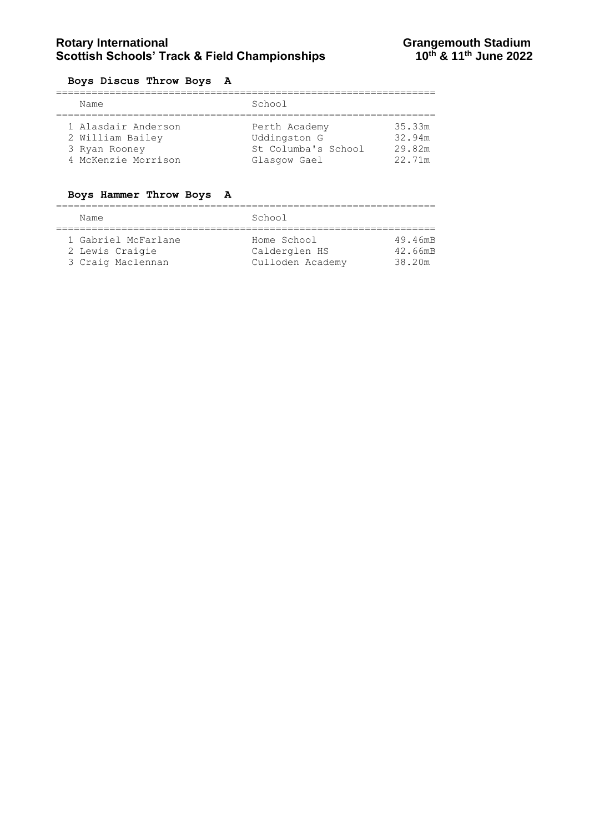#### **Boys Discus Throw Boys A**

|  | Name                | School               |        |
|--|---------------------|----------------------|--------|
|  |                     |                      |        |
|  | 1 Alasdair Anderson | Perth Academy        | 35.33m |
|  | 2 William Bailey    | Uddingston G         | 32.94m |
|  | 3 Ryan Rooney       | St. Columba's School | 29.82m |
|  | 4 McKenzie Morrison | Glasgow Gael         | 22.71m |

### **Boys Hammer Throw Boys A**

| Name                                                        | School                                           |                              |  |
|-------------------------------------------------------------|--------------------------------------------------|------------------------------|--|
| 1 Gabriel McFarlane<br>2 Lewis Craigie<br>3 Craig Maclennan | Home School<br>Calderglen HS<br>Culloden Academy | 49.46mB<br>42.66mB<br>38.20m |  |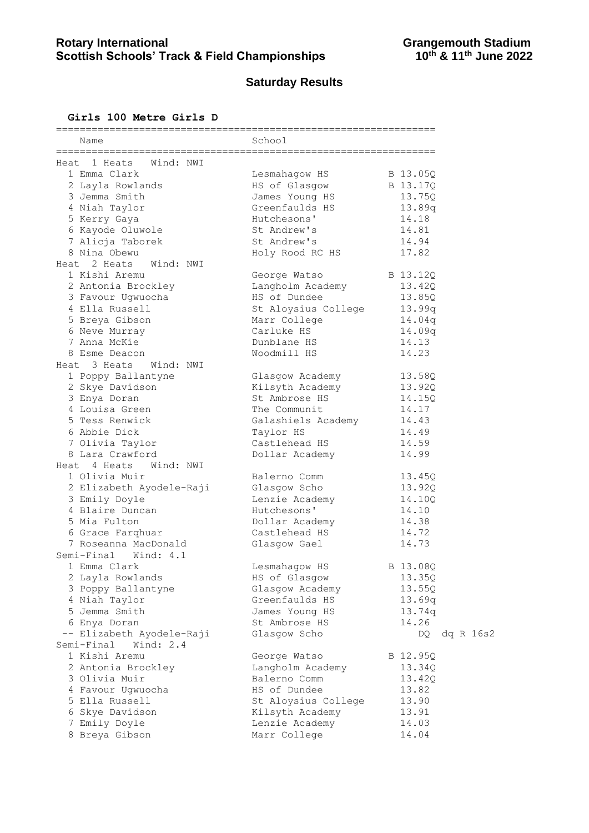# **Saturday Results**

## **Girls 100 Metre Girls D**

| Name                         | School                     |                  |
|------------------------------|----------------------------|------------------|
| Heat 1 Heats Wind: NWI       | ;========================= |                  |
| 1 Emma Clark                 | Lesmahagow HS              | B 13.05Q         |
| 2 Layla Rowlands             | HS of Glasgow              | B 13.17Q         |
| 3 Jemma Smith                | James Young HS             | 13.75Q           |
| 4 Niah Taylor                | Greenfaulds HS             | 13.89q           |
| 5 Kerry Gaya                 | Hutchesons'                | 14.18            |
| 6 Kayode Oluwole             | St Andrew's                | 14.81            |
| 7 Alicja Taborek             | St Andrew's                | 14.94            |
| 8 Nina Obewu                 | Holy Rood RC HS            | 17.82            |
| Heat 2 Heats<br>Wind: NWI    |                            |                  |
| 1 Kishi Aremu                | George Watso               | B 13.12Q         |
| 2 Antonia Brockley           | Langholm Academy           | 13.42Q           |
| 3 Favour Ugwuocha            | HS of Dundee               | 13.85Q           |
| 4 Ella Russell               | St Aloysius College        | 13.99q           |
| 5 Breya Gibson               | Marr College               | 14.04q           |
| 6 Neve Murray                | Carluke HS                 | 14.09q           |
| 7 Anna McKie                 | Dunblane HS                | 14.13            |
| 8 Esme Deacon                | Woodmill HS                | 14.23            |
| Wind: NWI<br>3 Heats<br>Heat |                            |                  |
| 1 Poppy Ballantyne           | Glasgow Academy            | 13.58Q           |
| 2 Skye Davidson              | Kilsyth Academy            | 13.92Q           |
| 3 Enya Doran                 | St Ambrose HS              | 14.15Q           |
| 4 Louisa Green               | The Communit               | 14.17            |
| 5 Tess Renwick               | Galashiels Academy         | 14.43            |
| 6 Abbie Dick                 | Taylor HS                  | 14.49            |
| 7 Olivia Taylor              | Castlehead HS              | 14.59            |
| 8 Lara Crawford              | Dollar Academy             | 14.99            |
| Heat 4 Heats<br>Wind: NWI    |                            |                  |
| 1 Olivia Muir                | Balerno Comm               | 13.45Q           |
| 2 Elizabeth Ayodele-Raji     | Glasgow Scho               | 13.92Q           |
| 3 Emily Doyle                | Lenzie Academy             | 14.10Q           |
| 4 Blaire Duncan              | Hutchesons'                | 14.10            |
| 5 Mia Fulton                 | Dollar Academy             | 14.38            |
| 6 Grace Farqhuar             | Castlehead HS              | 14.72            |
| 7 Roseanna MacDonald         | Glasgow Gael               | 14.73            |
| Semi-Final Wind: 4.1         |                            |                  |
| 1 Emma Clark                 | Lesmahagow HS              | B 13.080         |
| 2 Layla Rowlands             | HS of Glasgow              | 13.35Q           |
| 3 Poppy Ballantyne           | Glasgow Academy            | 13.55Q           |
| 4 Niah Taylor                | Greenfaulds HS             | 13.69q           |
| 5 Jemma Smith                | James Young HS             | 13.74q           |
| 6 Enya Doran                 | St Ambrose HS              | 14.26            |
| -- Elizabeth Ayodele-Raji    | Glasgow Scho               | dq R 16s2<br>DQ. |
| Semi-Final Wind: 2.4         |                            |                  |
| 1 Kishi Aremu                | George Watso               | B 12.95Q         |
| 2 Antonia Brockley           | Langholm Academy           | 13.34Q           |
| 3 Olivia Muir                | Balerno Comm               | 13.42Q           |
| 4 Favour Ugwuocha            | HS of Dundee               | 13.82            |
| 5 Ella Russell               | St Aloysius College        | 13.90            |
| 6 Skye Davidson              | Kilsyth Academy            | 13.91            |
| 7 Emily Doyle                | Lenzie Academy             | 14.03            |
| 8 Breya Gibson               | Marr College               | 14.04            |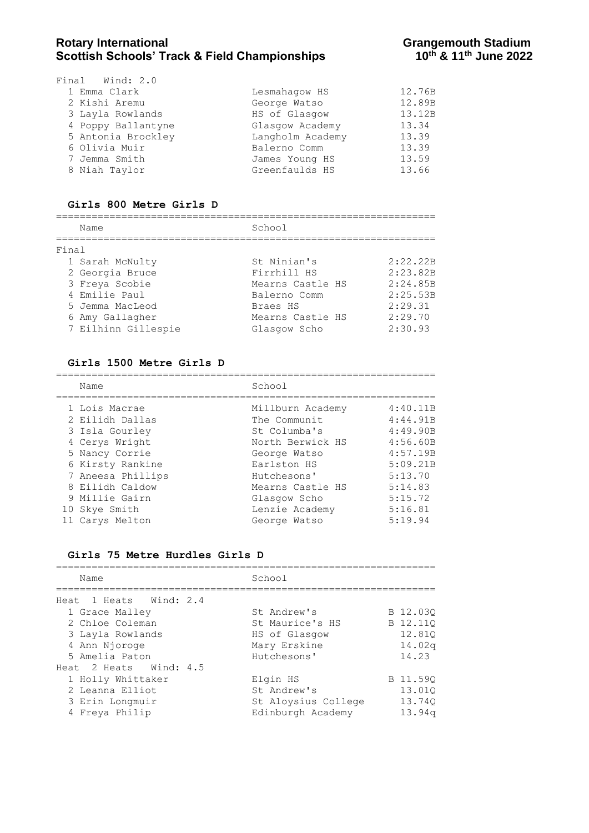| Final Wind: 2.0    |                  |        |
|--------------------|------------------|--------|
| 1 Emma Clark       | Lesmahaqow HS    | 12.76B |
| 2 Kishi Aremu      | George Watso     | 12.89B |
| 3 Layla Rowlands   | HS of Glasgow    | 13.12B |
| 4 Poppy Ballantyne | Glasgow Academy  | 13.34  |
| 5 Antonia Brockley | Langholm Academy | 13.39  |
| 6 Olivia Muir      | Balerno Comm     | 13.39  |
| 7 Jemma Smith      | James Young HS   | 13.59  |
| 8 Niah Taylor      | Greenfaulds HS   | 13.66  |
|                    |                  |        |

#### **Girls 800 Metre Girls D**

================================================================

| Name                | School           |          |  |  |  |  |
|---------------------|------------------|----------|--|--|--|--|
| Final               |                  |          |  |  |  |  |
| 1 Sarah McNulty     | St Ninian's      | 2:22.22B |  |  |  |  |
| 2 Georgia Bruce     | Firrhill HS      | 2:23.82B |  |  |  |  |
| 3 Freya Scobie      | Mearns Castle HS | 2:24.85B |  |  |  |  |
| 4 Emilie Paul       | Balerno Comm     | 2:25.53B |  |  |  |  |
| 5 Jemma MacLeod     | Braes HS         | 2:29.31  |  |  |  |  |
| 6 Amy Gallagher     | Mearns Castle HS | 2:29.70  |  |  |  |  |
| 7 Eilhinn Gillespie | Glasgow Scho     | 2:30.93  |  |  |  |  |

#### **Girls 1500 Metre Girls D**

================================================================ School

|  | Nalle             | 5011001          |          |
|--|-------------------|------------------|----------|
|  | 1 Lois Macrae     | Millburn Academy | 4:40.11B |
|  | 2 Eilidh Dallas   | The Communit     | 4:44.91B |
|  | 3 Isla Gourley    | St Columba's     | 4:49.90B |
|  | 4 Cerys Wright    | North Berwick HS | 4:56.60B |
|  | 5 Nancy Corrie    | George Watso     | 4:57.19B |
|  | 6 Kirsty Rankine  | Earlston HS      | 5:09.21B |
|  | 7 Aneesa Phillips | Hutchesons'      | 5:13.70  |
|  | 8 Eilidh Caldow   | Mearns Castle HS | 5:14.83  |
|  | 9 Millie Gairn    | Glasgow Scho     | 5:15.72  |
|  | 10 Skye Smith     | Lenzie Academy   | 5:16.81  |
|  | 11 Carys Melton   | George Watso     | 5:19.94  |
|  |                   |                  |          |

#### **Girls 75 Metre Hurdles Girls D**

| Name                   | School              |                    |
|------------------------|---------------------|--------------------|
| Heat 1 Heats Wind: 2.4 |                     |                    |
| 1 Grace Malley         | St Andrew's         | B 12.030           |
| 2 Chloe Coleman        | St Maurice's HS     | B 12.110           |
| 3 Layla Rowlands       | HS of Glasgow       | 12.810             |
| 4 Ann Njoroge          | Mary Erskine        | 14.02q             |
| 5 Amelia Paton         | Hutchesons'         | 14.23              |
| Heat 2 Heats Wind: 4.5 |                     |                    |
| 1 Holly Whittaker      | Elgin HS            | B 11.590           |
| 2 Leanna Elliot        | St Andrew's         | 13.010             |
| 3 Erin Longmuir        | St Aloysius College | 13.740             |
| 4 Freya Philip         | Edinburgh Academy   | 13.94 <sub>q</sub> |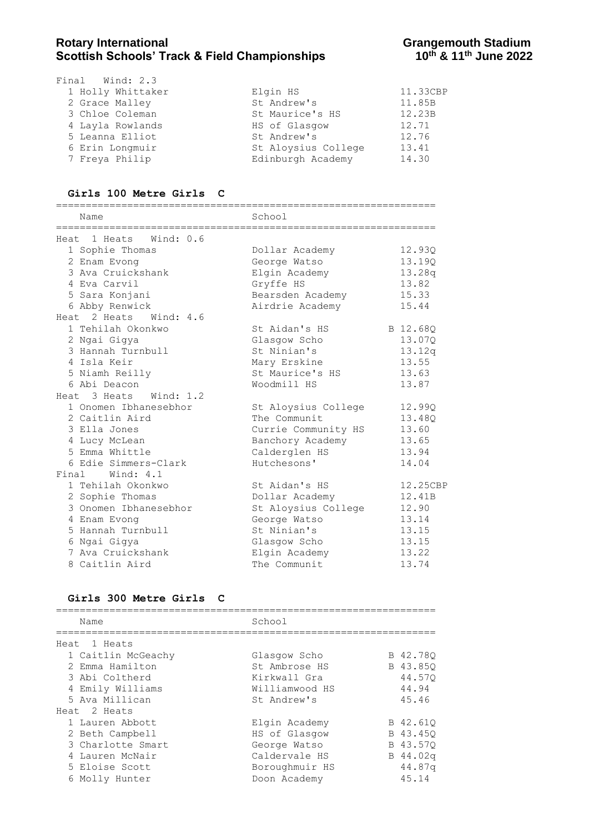| Final Wind: 2.3   |                     |          |
|-------------------|---------------------|----------|
| 1 Holly Whittaker | Elgin HS            | 11.33CBP |
| 2 Grace Malley    | St Andrew's         | 11.85B   |
| 3 Chloe Coleman   | St Maurice's HS     | 12.23B   |
| 4 Layla Rowlands  | HS of Glasgow       | 12.71    |
| 5 Leanna Elliot   | St Andrew's         | 12.76    |
| 6 Erin Longmuir   | St Aloysius College | 13.41    |
| 7 Freya Philip    | Edinburgh Academy   | 14.30    |

#### **Girls 100 Metre Girls C**

| Name                      | School              |          |
|---------------------------|---------------------|----------|
| Heat 1 Heats<br>Wind: 0.6 |                     |          |
| 1 Sophie Thomas           | Dollar Academy      | 12.93Q   |
| 2 Enam Evong              | George Watso        | 13.19Q   |
| 3 Ava Cruickshank         | Elgin Academy       | 13.28q   |
| 4 Eva Carvil              | Gryffe HS           | 13.82    |
| 5 Sara Konjani            | Bearsden Academy    | 15.33    |
| 6 Abby Renwick            | Airdrie Academy     | 15.44    |
| Heat 2 Heats<br>Wind: 4.6 |                     |          |
| 1 Tehilah Okonkwo         | St Aidan's HS       | B 12.68Q |
| 2 Ngai Gigya              | Glasgow Scho        | 13.07Q   |
| 3 Hannah Turnbull         | St Ninian's         | 13.12q   |
| 4 Isla Keir               | Mary Erskine        | 13.55    |
| 5 Niamh Reilly            | St Maurice's HS     | 13.63    |
| 6 Abi Deacon              | Woodmill HS         | 13.87    |
| Heat 3 Heats Wind: 1.2    |                     |          |
| 1 Onomen Ibhanesebhor     | St Aloysius College | 12.99Q   |
| 2 Caitlin Aird            | The Communit        | 13.48Q   |
| 3 Ella Jones              | Currie Community HS | 13.60    |
| 4 Lucy McLean             | Banchory Academy    | 13.65    |
| 5 Emma Whittle            | Calderglen HS       | 13.94    |
| 6 Edie Simmers-Clark      | Hutchesons'         | 14.04    |
| Final Wind: 4.1           |                     |          |
| 1 Tehilah Okonkwo         | St Aidan's HS       | 12.25CBP |
| 2 Sophie Thomas           | Dollar Academy      | 12.41B   |
| 3 Onomen Ibhanesebhor     | St Aloysius College | 12.90    |
| 4 Enam Evong              | George Watso        | 13.14    |
| 5 Hannah Turnbull         | St Ninian's         | 13.15    |
| 6 Ngai Gigya              | Glasgow Scho        | 13.15    |
| 7 Ava Cruickshank         | Elgin Academy       | 13.22    |
| 8 Caitlin Aird            | The Communit        | 13.74    |

#### **Girls 300 Metre Girls C**

| Name               | School         |          |
|--------------------|----------------|----------|
| Heat 1 Heats       |                |          |
| 1 Caitlin McGeachy | Glasgow Scho   | B 42.780 |
| 2 Emma Hamilton    | St Ambrose HS  | B 43.850 |
| 3 Abi Coltherd     | Kirkwall Gra   | 44.570   |
| 4 Emily Williams   | Williamwood HS | 44.94    |
| 5 Ava Millican     | St Andrew's    | 45.46    |
| Heat 2 Heats       |                |          |
| 1 Lauren Abbott    | Elgin Academy  | B 42.61Q |
| 2 Beth Campbell    | HS of Glasgow  | B 43.450 |
| 3 Charlotte Smart  | George Watso   | B 43.570 |
| 4 Lauren McNair    | Caldervale HS  | B 44.02q |
| 5 Eloise Scott     | Boroughmuir HS | 44.87q   |
| 6 Molly Hunter     | Doon Academy   | 45.14    |
|                    |                |          |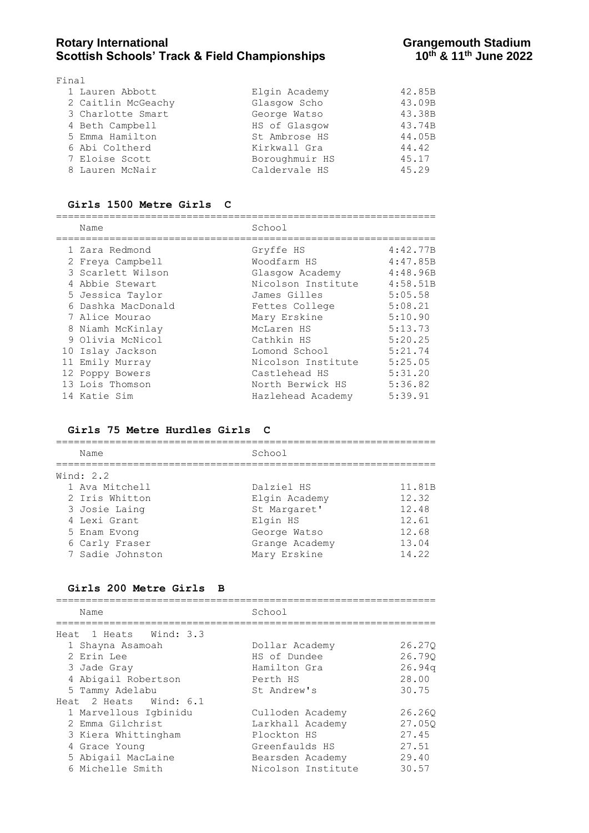## Rotary International **Rotary International**<br>Scottish Schools' Track & Field Championships **Grangemouth Stadium**<br>10<sup>th</sup> & 11<sup>th</sup> June 2022 **Scottish Schools' Track & Field Championships**

| Final              |                |        |
|--------------------|----------------|--------|
| 1 Lauren Abbott    | Elgin Academy  | 42.85B |
| 2 Caitlin McGeachy | Glasgow Scho   | 43.09B |
| 3 Charlotte Smart  | George Watso   | 43.38B |
| 4 Beth Campbell    | HS of Glasgow  | 43.74B |
| 5 Emma Hamilton    | St Ambrose HS  | 44.05B |
| 6 Abi Coltherd     | Kirkwall Gra   | 44.42  |
| 7 Eloise Scott     | Boroughmuir HS | 45.17  |
| 8 Lauren McNair    | Caldervale HS  | 45.29  |
|                    |                |        |

#### **Girls 1500 Metre Girls C**

================================================================

|  | Name               | School             |          |
|--|--------------------|--------------------|----------|
|  | 1 Zara Redmond     | Gryffe HS          | 4:42.77B |
|  | 2 Freya Campbell   | Woodfarm HS        | 4:47.85B |
|  | 3 Scarlett Wilson  | Glasgow Academy    | 4:48.96B |
|  | 4 Abbie Stewart    | Nicolson Institute | 4:58.51B |
|  | 5 Jessica Taylor   | James Gilles       | 5:05.58  |
|  | 6 Dashka MacDonald | Fettes College     | 5:08.21  |
|  | 7 Alice Mourao     | Mary Erskine       | 5:10.90  |
|  | 8 Niamh McKinlay   | McLaren HS         | 5:13.73  |
|  | 9 Olivia McNicol   | Cathkin HS         | 5:20.25  |
|  | 10 Islay Jackson   | Lomond School      | 5:21.74  |
|  | 11 Emily Murray    | Nicolson Institute | 5:25.05  |
|  | 12 Poppy Bowers    | Castlehead HS      | 5:31.20  |
|  | 13 Lois Thomson    | North Berwick HS   | 5:36.82  |
|  | 14 Katie Sim       | Hazlehead Academy  | 5:39.91  |
|  |                    |                    |          |

#### **Girls 75 Metre Hurdles Girls C**

| Name             | School         |        |
|------------------|----------------|--------|
| Wind: $2.2$      |                |        |
| 1 Ava Mitchell   | Dalziel HS     | 11.81B |
| 2 Iris Whitton   | Elgin Academy  | 12.32  |
| 3 Josie Laing    | St Margaret'   | 12.48  |
| 4 Lexi Grant     | Elgin HS       | 12.61  |
| 5 Enam Evong     | George Watso   | 12.68  |
| 6 Carly Fraser   | Grange Academy | 13.04  |
| 7 Sadie Johnston | Mary Erskine   | 14.22  |

#### **Girls 200 Metre Girls B**

================================================================ Name School ================================================================ Heat 1 Heats Wind: 3.3 1 Shayna Asamoah Dollar Academy 26.27Q 2 Erin Lee HS of Dundee 26.79Q 3 Jade Gray Hamilton Gra 26.94q 4 Abigail Robertson Perth HS 28.00 5 Tammy Adelabu St Andrew's 30.75 Heat 2 Heats Wind: 6.1 1 Marvellous Igbinidu Culloden Academy 26.26Q 2 Emma Gilchrist Larkhall Academy 27.05Q 3 Kiera Whittingham **Plockton HS** 27.45 4 Grace Young Greenfaulds HS 27.51 5 Abigail MacLaine Bearsden Academy 29.40 6 Michelle Smith Nicolson Institute 30.57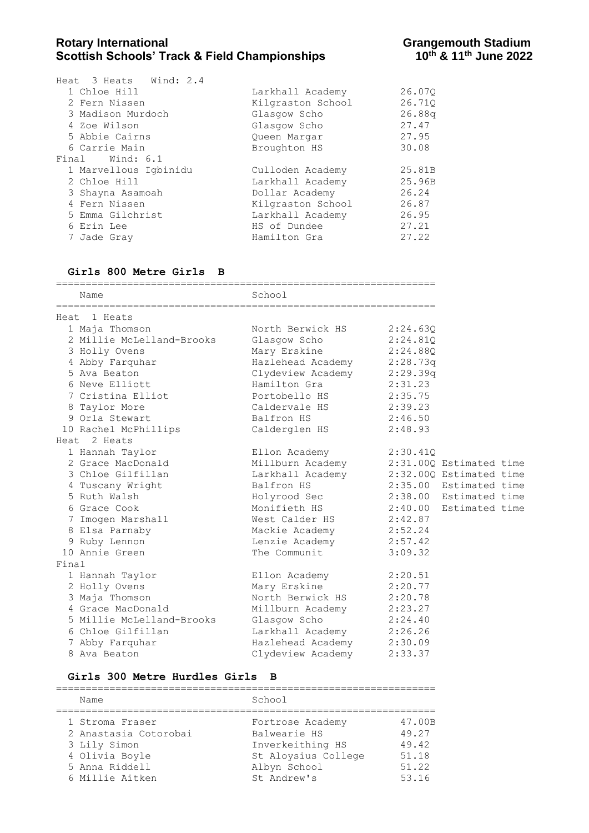| Heat 3 Heats Wind: 2.4 |                   |        |
|------------------------|-------------------|--------|
| 1 Chloe Hill           | Larkhall Academy  | 26.070 |
| 2 Fern Nissen          | Kilgraston School | 26.710 |
| 3 Madison Murdoch      | Glasgow Scho      | 26.88q |
| 4 Zoe Wilson           | Glasgow Scho      | 27.47  |
| 5 Abbie Cairns         | Queen Margar      | 27.95  |
| 6 Carrie Main          | Broughton HS      | 30.08  |
| Final Wind: 6.1        |                   |        |
| 1 Marvellous Igbinidu  | Culloden Academy  | 25.81B |
| 2 Chloe Hill           | Larkhall Academy  | 25.96B |
| 3 Shayna Asamoah       | Dollar Academy    | 26.24  |
| 4 Fern Nissen          | Kilgraston School | 26.87  |
| 5 Emma Gilchrist       | Larkhall Academy  | 26.95  |
| 6 Erin Lee             | HS of Dundee      | 27.21  |
| 7 Jade Gray            | Hamilton Gra      | 27.22  |
|                        |                   |        |

#### **Girls 800 Metre Girls B**

|       | Name                      | School                                   |          |                        |  |
|-------|---------------------------|------------------------------------------|----------|------------------------|--|
|       | Heat 1 Heats              |                                          |          |                        |  |
|       | 1 Maja Thomson            | North Berwick HS 2:24.63Q                |          |                        |  |
|       | 2 Millie McLelland-Brooks | Glasgow Scho                             | 2:24.81Q |                        |  |
|       | 3 Holly Ovens             | Mary Erskine 2:24.88Q                    |          |                        |  |
|       | 4 Abby Farquhar           | Hazlehead Academy 2:28.73q               |          |                        |  |
|       | 5 Ava Beaton              | Clydeview Academy 2:29.39q               |          |                        |  |
|       | 6 Neve Elliott            | Hamilton Gra                             | 2:31.23  |                        |  |
|       | 7 Cristina Elliot         | Portobello HS                            | 2:35.75  |                        |  |
|       | 8 Taylor More             | Caldervale HS 2:39.23                    |          |                        |  |
|       | 9 Orla Stewart            | Balfron HS                               | 2:46.50  |                        |  |
|       | 10 Rachel McPhillips      | Calderglen HS                            | 2:48.93  |                        |  |
|       | Heat 2 Heats              |                                          |          |                        |  |
|       | 1 Hannah Taylor           | Ellon Academy                            | 2:30.41Q |                        |  |
|       | 2 Grace MacDonald         | Millburn Academy 2:31.00Q Estimated time |          |                        |  |
|       | 3 Chloe Gilfillan         | Larkhall Academy 2:32.000 Estimated time |          |                        |  |
|       | 4 Tuscany Wright          | Balfron HS                               |          | 2:35.00 Estimated time |  |
|       | 5 Ruth Walsh              | Holyrood Sec                             |          | 2:38.00 Estimated time |  |
|       | 6 Grace Cook              | Monifieth HS 2:40.00 Estimated time      |          |                        |  |
|       | 7 Imogen Marshall         | West Calder HS 2:42.87                   |          |                        |  |
|       | 8 Elsa Parnaby            | Mackie Academy                           | 2:52.24  |                        |  |
|       | 9 Ruby Lennon             | Lenzie Academy                           | 2:57.42  |                        |  |
|       | 10 Annie Green            | The Communit                             | 3:09.32  |                        |  |
| Final |                           |                                          |          |                        |  |
|       | 1 Hannah Taylor           | Ellon Academy 2:20.51                    |          |                        |  |
|       | 2 Holly Ovens             | Mary Erskine                             | 2:20.77  |                        |  |
|       | 3 Maja Thomson            | North Berwick HS 2:20.78                 |          |                        |  |
|       | 4 Grace MacDonald         | Millburn Academy 2:23.27                 |          |                        |  |
|       | 5 Millie McLelland-Brooks | Glasqow Scho<br>2:24.40                  |          |                        |  |
|       | 6 Chloe Gilfillan         | Larkhall Academy 2:26.26                 |          |                        |  |
|       | 7 Abby Farquhar           | Hazlehead Academy 2:30.09                |          |                        |  |
|       | 8 Ava Beaton              | Clydeview Academy                        | 2:33.37  |                        |  |

#### **Girls 300 Metre Hurdles Girls B**

| Name                  | School              |        |
|-----------------------|---------------------|--------|
| 1 Stroma Fraser       | Fortrose Academy    | 47.00B |
| 2 Anastasia Cotorobai | Balwearie HS        | 49.27  |
| 3 Lily Simon          | Inverkeithing HS    | 49.42  |
| 4 Olivia Boyle        | St Aloysius College | 51.18  |
| 5 Anna Riddell        | Albyn School        | 51.22  |
| 6 Millie Aitken       | St Andrew's         | 53.16  |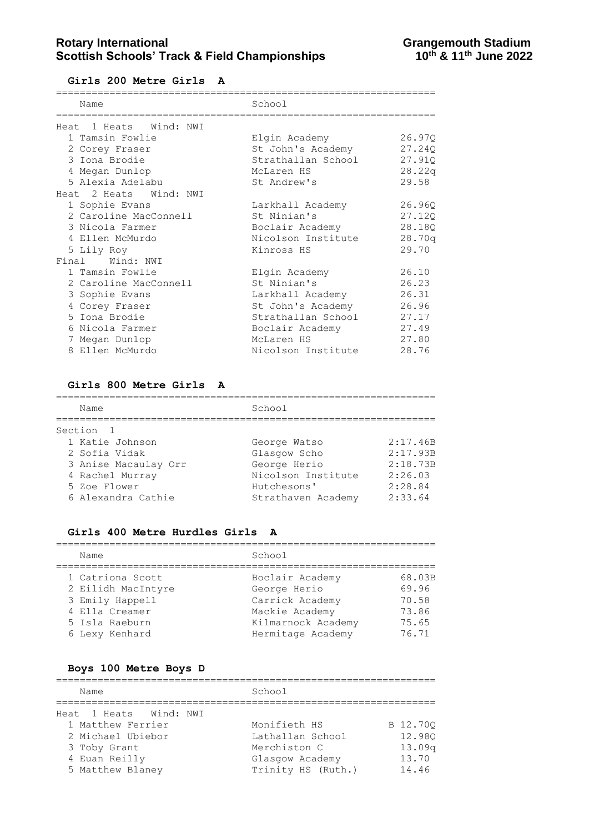**Girls 200 Metre Girls A**

| Name                   | School             |        |
|------------------------|--------------------|--------|
| Heat 1 Heats Wind: NWI |                    |        |
| 1 Tamsin Fowlie        | Elgin Academy      | 26.970 |
| 2 Corey Fraser         | St John's Academy  | 27.240 |
| 3 Iona Brodie          | Strathallan School | 27.910 |
| 4 Megan Dunlop         | McLaren HS         | 28.22q |
| 5 Alexia Adelabu       | St Andrew's        | 29.58  |
| Heat 2 Heats Wind: NWI |                    |        |
| 1 Sophie Evans         | Larkhall Academy   | 26.960 |
| 2 Caroline MacConnell  | St Ninian's        | 27.120 |
| 3 Nicola Farmer        | Boclair Academy    | 28.18Q |
| 4 Ellen McMurdo        | Nicolson Institute | 28.70q |
| 5 Lily Roy             | Kinross HS         | 29.70  |
| Wind: NWI<br>Final     |                    |        |
| 1 Tamsin Fowlie        | Elgin Academy      | 26.10  |
| 2 Caroline MacConnell  | St Ninian's        | 26.23  |
| 3 Sophie Evans         | Larkhall Academy   | 26.31  |
| 4 Corey Fraser         | St John's Academy  | 26.96  |
| 5 Iona Brodie          | Strathallan School | 27.17  |
| 6 Nicola Farmer        | Boclair Academy    | 27.49  |
| 7 Megan Dunlop         | McLaren HS         | 27.80  |
| 8 Ellen McMurdo        | Nicolson Institute | 28.76  |

#### **Girls 800 Metre Girls A**

| Name                 | School             |          |
|----------------------|--------------------|----------|
| Section 1            |                    |          |
| 1 Katie Johnson      | George Watso       | 2:17.46B |
| 2 Sofia Vidak        | Glasgow Scho       | 2:17.93B |
| 3 Anise Macaulay Orr | George Herio       | 2:18.73B |
| 4 Rachel Murray      | Nicolson Institute | 2:26.03  |
| 5 Zoe Flower         | Hutchesons'        | 2:28.84  |
| 6 Alexandra Cathie   | Strathaven Academy | 2:33.64  |

#### **Girls 400 Metre Hurdles Girls A**

| Name               | School             |        |  |
|--------------------|--------------------|--------|--|
| 1 Catriona Scott   | Boclair Academy    | 68.03B |  |
| 2 Eilidh MacIntyre | George Herio       | 69.96  |  |
| 3 Emily Happell    | Carrick Academy    | 70.58  |  |
| 4 Ella Creamer     | Mackie Academy     | 73.86  |  |
| 5 Isla Raeburn     | Kilmarnock Academy | 75.65  |  |
| 6 Lexy Kenhard     | Hermitage Academy  | 76.71  |  |

## **Boys 100 Metre Boys D**

| Name                   | School             |                    |
|------------------------|--------------------|--------------------|
| Heat 1 Heats Wind: NWI |                    |                    |
| 1 Matthew Ferrier      | Monifieth HS       | B 12.700           |
| 2 Michael Ubiebor      | Lathallan School   | 12.980             |
| 3 Toby Grant           | Merchiston C       | 13.09 <sub>q</sub> |
| 4 Euan Reilly          | Glasgow Academy    | 13.70              |
| 5 Matthew Blaney       | Trinity HS (Ruth.) | 14.46              |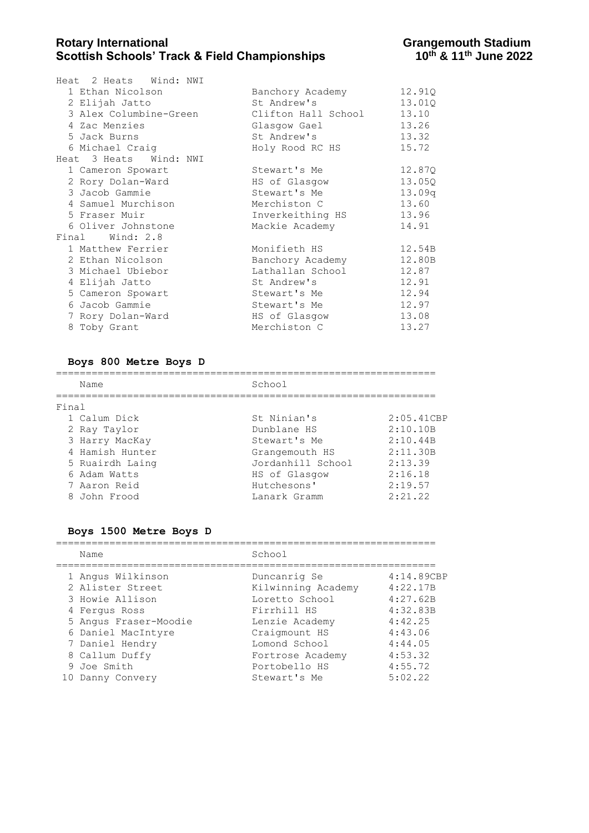| Heat 2 Heats Wind: NWI                     |                  |        |
|--------------------------------------------|------------------|--------|
| 1 Ethan Nicolson                           | Banchory Academy | 12.910 |
| 2 Elijah Jatto                             | St Andrew's      | 13.01Q |
| 3 Alex Columbine-Green Clifton Hall School |                  | 13.10  |
| 4 Zac Menzies                              | Glasgow Gael     | 13.26  |
| 5 Jack Burns                               | St Andrew's      | 13.32  |
| 6 Michael Craig                            | Holy Rood RC HS  | 15.72  |
| Heat 3 Heats Wind: NWI                     |                  |        |
| 1 Cameron Spowart                          | Stewart's Me     | 12.87Q |
| 2 Rory Dolan-Ward                          | HS of Glasgow    | 13.05Q |
| 3 Jacob Gammie                             | Stewart's Me     | 13.09q |
| 4 Samuel Murchison                         | Merchiston C     | 13.60  |
| 5 Fraser Muir                              | Inverkeithing HS | 13.96  |
| 6 Oliver Johnstone                         | Mackie Academy   | 14.91  |
| Final Wind: 2.8                            |                  |        |
| 1 Matthew Ferrier                          | Monifieth HS     | 12.54B |
| 2 Ethan Nicolson                           | Banchory Academy | 12.80B |
| 3 Michael Ubiebor                          | Lathallan School | 12.87  |
| 4 Elijah Jatto                             | St Andrew's      | 12.91  |
| 5 Cameron Spowart                          | Stewart's Me     | 12.94  |
| 6 Jacob Gammie                             | Stewart's Me     | 12.97  |
| 7 Rory Dolan-Ward                          | HS of Glasgow    | 13.08  |
| 8 Toby Grant                               | Merchiston C     | 13.27  |
|                                            |                  |        |

#### **Boys 800 Metre Boys D**

================================================================

| Name            | School            |            |
|-----------------|-------------------|------------|
| Final           |                   |            |
| 1 Calum Dick    | St Ninian's       | 2:05.41CBP |
| 2 Ray Taylor    | Dunblane HS       | 2:10.10B   |
| 3 Harry MacKay  | Stewart's Me      | 2:10.44B   |
| 4 Hamish Hunter | Grangemouth HS    | 2:11.30B   |
| 5 Ruairdh Laing | Jordanhill School | 2:13.39    |
| 6 Adam Watts    | HS of Glasgow     | 2:16.18    |
| 7 Aaron Reid    | Hutchesons'       | 2:19.57    |
| 8 John Frood    | Lanark Gramm      | 2:21.22    |

#### **Boys 1500 Metre Boys D**

# ================================================================

| Name                  | School             |            |
|-----------------------|--------------------|------------|
| 1 Angus Wilkinson     | Duncanrig Se       | 4:14.89CBP |
| 2 Alister Street      | Kilwinning Academy | 4:22.17B   |
| 3 Howie Allison       | Loretto School     | 4:27.62B   |
| 4 Ferqus Ross         | Firrhill HS        | 4:32.83B   |
| 5 Angus Fraser-Moodie | Lenzie Academy     | 4:42.25    |
| 6 Daniel MacIntyre    | Craigmount HS      | 4:43.06    |
| 7 Daniel Hendry       | Lomond School      | 4:44.05    |
| 8 Callum Duffy        | Fortrose Academy   | 4:53.32    |
| 9 Joe Smith           | Portobello HS      | 4:55.72    |
| 10 Danny Convery      | Stewart's Me       | 5:02.22    |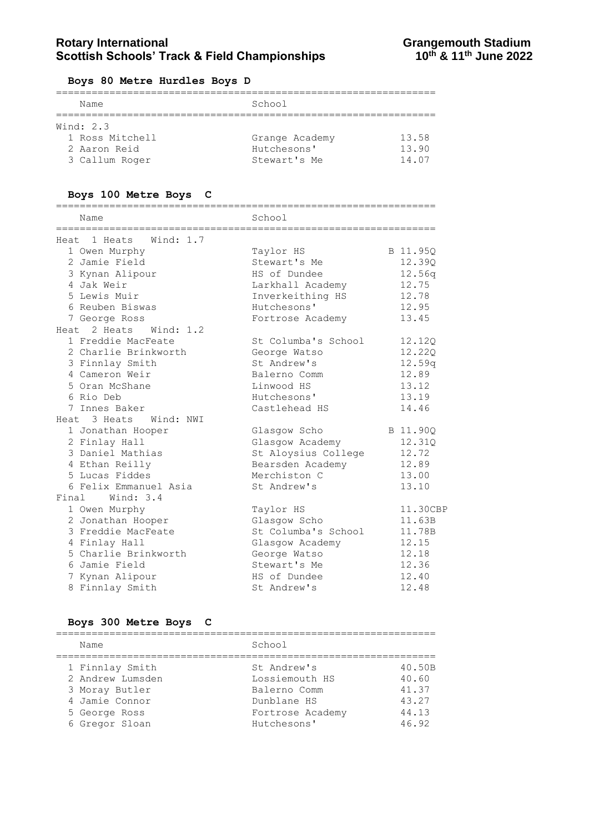#### **Boys 80 Metre Hurdles Boys D**

| Name            | School         |       |  |
|-----------------|----------------|-------|--|
| Wind: $2.3$     |                |       |  |
| 1 Ross Mitchell | Grange Academy | 13.58 |  |
| 2 Aaron Reid    | Hutchesons'    | 13.90 |  |
| 3 Callum Roger  | Stewart's Me   | 14.07 |  |

#### **Boys 100 Metre Boys C**

| Name                                                           | School                      |          |
|----------------------------------------------------------------|-----------------------------|----------|
| ====================================<br>Heat 1 Heats Wind: 1.7 | =========================== |          |
| 1 Owen Murphy                                                  | Taylor HS                   | B 11.95Q |
| 2 Jamie Field                                                  | Stewart's Me                | 12.39Q   |
| 3 Kynan Alipour                                                | HS of Dundee                | 12.56q   |
| 4 Jak Weir                                                     | Larkhall Academy            | 12.75    |
| 5 Lewis Muir                                                   | Inverkeithing HS            | 12.78    |
| 6 Reuben Biswas                                                | Hutchesons'                 | 12.95    |
| 7 George Ross                                                  | Fortrose Academy            | 13.45    |
| Heat 2 Heats Wind: 1.2                                         |                             |          |
| 1 Freddie MacFeate                                             | St Columba's School         | 12.12Q   |
| 2 Charlie Brinkworth                                           | George Watso                | 12.22Q   |
| 3 Finnlay Smith                                                | St Andrew's                 | 12.59q   |
| 4 Cameron Weir                                                 | Balerno Comm                | 12.89    |
| 5 Oran McShane                                                 | Linwood HS                  | 13.12    |
| 6 Rio Deb                                                      | Hutchesons'                 | 13.19    |
| 7 Innes Baker                                                  | Castlehead HS               | 14.46    |
| Heat 3 Heats Wind: NWI                                         |                             |          |
| 1 Jonathan Hooper                                              | Glasgow Scho                | B 11.90Q |
| 2 Finlay Hall                                                  | Glasgow Academy             | 12.31Q   |
| 3 Daniel Mathias                                               | St Aloysius College         | 12.72    |
| 4 Ethan Reilly                                                 | Bearsden Academy            | 12.89    |
| 5 Lucas Fiddes                                                 | Merchiston C                | 13.00    |
| 6 Felix Emmanuel Asia                                          | St Andrew's                 | 13.10    |
| Final Wind: 3.4                                                |                             |          |
| 1 Owen Murphy                                                  | Taylor HS                   | 11.30CBP |
| 2 Jonathan Hooper                                              | Glasgow Scho                | 11.63B   |
| 3 Freddie MacFeate                                             | St Columba's School         | 11.78B   |
| 4 Finlay Hall                                                  | Glasgow Academy             | 12.15    |
| 5 Charlie Brinkworth                                           | George Watso                | 12.18    |
| 6 Jamie Field                                                  | Stewart's Me                | 12.36    |
| 7 Kynan Alipour                                                | HS of Dundee                | 12.40    |
| 8 Finnlay Smith                                                | St Andrew's                 | 12.48    |

#### **Boys 300 Metre Boys C**

================================================================ Name School ================================================================ 1 Finnlay Smith St Andrew's 40.50B 2 Andrew Lumsden Lossiemouth HS 40.60 3 Moray Butler Balerno Comm 41.37 4 Jamie Connor Dunblane HS 43.27 5 George Ross Fortrose Academy 44.13 6 Gregor Sloan Hutchesons' 46.92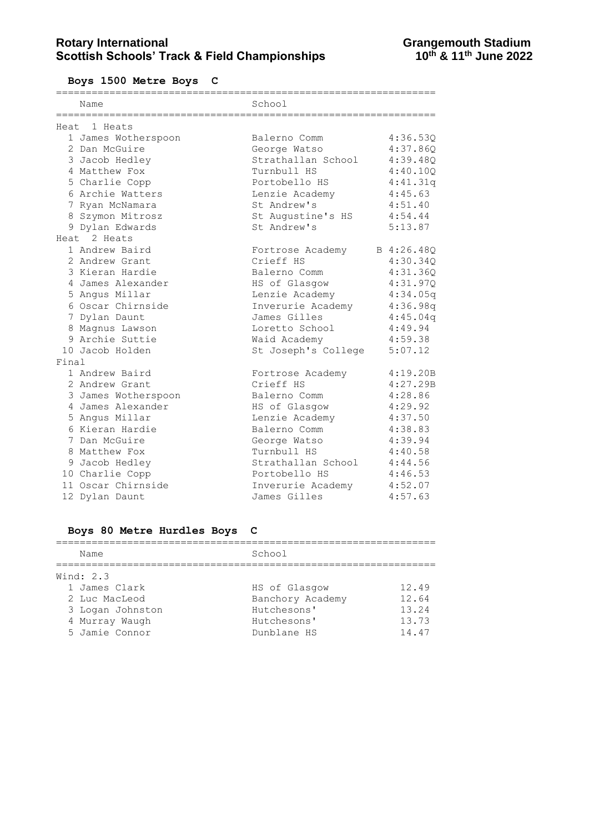**Boys 1500 Metre Boys C**

|       | :============       | ===========<br>====================== |          |
|-------|---------------------|---------------------------------------|----------|
|       | Name                | School                                |          |
|       |                     |                                       |          |
|       | Heat 1 Heats        |                                       |          |
|       | 1 James Wotherspoon | Balerno Comm                          | 4:36.53Q |
|       | 2 Dan McGuire       | George Watso                          | 4:37.86Q |
|       | 3 Jacob Hedley      | Strathallan School                    | 4:39.480 |
|       | 4 Matthew Fox       | Turnbull HS                           | 4:40.10Q |
|       | 5 Charlie Copp      | Portobello HS                         | 4:41.31q |
|       | 6 Archie Watters    | Lenzie Academy                        | 4:45.63  |
|       | 7 Ryan McNamara     | St Andrew's                           | 4:51.40  |
|       | 8 Szymon Mitrosz    | St Augustine's HS                     | 4:54.44  |
|       | 9 Dylan Edwards     | St Andrew's                           | 5:13.87  |
|       | Heat 2 Heats        |                                       |          |
|       | 1 Andrew Baird      | Fortrose Academy B 4:26.48Q           |          |
|       | 2 Andrew Grant      | Crieff HS                             | 4:30.34Q |
|       | 3 Kieran Hardie     | Balerno Comm                          | 4:31.36Q |
|       | 4 James Alexander   | HS of Glasgow                         | 4:31.97Q |
|       | 5 Angus Millar      | Lenzie Academy                        | 4:34.05q |
|       | 6 Oscar Chirnside   | Inverurie Academy                     | 4:36.98q |
|       | 7 Dylan Daunt       | James Gilles                          | 4:45.04q |
|       | 8 Magnus Lawson     | Loretto School                        | 4:49.94  |
|       | 9 Archie Suttie     | Waid Academy                          | 4:59.38  |
|       | 10 Jacob Holden     | St Joseph's College                   | 5:07.12  |
| Final |                     |                                       |          |
|       | 1 Andrew Baird      | Fortrose Academy                      | 4:19.20B |
|       | 2 Andrew Grant      | Crieff HS                             | 4:27.29B |
|       | 3 James Wotherspoon | Balerno Comm                          | 4:28.86  |
|       | 4 James Alexander   | HS of Glasgow                         | 4:29.92  |
|       | 5 Angus Millar      | Lenzie Academy                        | 4:37.50  |
|       | 6 Kieran Hardie     | Balerno Comm                          | 4:38.83  |
|       | 7 Dan McGuire       | George Watso                          | 4:39.94  |
|       | 8 Matthew Fox       | Turnbull HS                           | 4:40.58  |
|       | 9 Jacob Hedley      | Strathallan School 4:44.56            |          |
|       | 10 Charlie Copp     | Portobello HS                         | 4:46.53  |
|       | 11 Oscar Chirnside  | Inverurie Academy                     | 4:52.07  |
|       | 12 Dylan Daunt      | James Gilles                          | 4:57.63  |

# **Boys 80 Metre Hurdles Boys C**

| Name             | School           |       |
|------------------|------------------|-------|
| Wind: 2.3        |                  |       |
| 1 James Clark    | HS of Glasgow    | 12.49 |
| 2 Luc MacLeod    | Banchory Academy | 12.64 |
| 3 Logan Johnston | Hutchesons'      | 13.24 |
| 4 Murray Waugh   | Hutchesons'      | 13.73 |
| 5 Jamie Connor   | Dunblane HS      | 14.47 |
|                  |                  |       |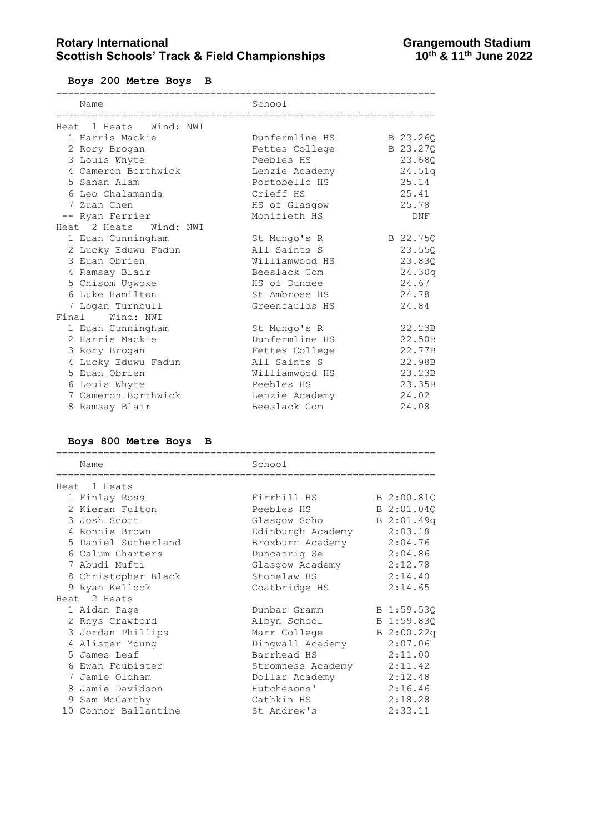**Boys 200 Metre Boys B**

| Name<br>_______________________________ | School<br>================================ |          |
|-----------------------------------------|--------------------------------------------|----------|
| Heat 1 Heats Wind: NWI                  |                                            |          |
| 1 Harris Mackie                         | Dunfermline HS                             | B 23.260 |
| 2 Rory Brogan                           | Fettes College                             | B 23.27Q |
| 3 Louis Whyte                           | Peebles HS                                 | 23.68Q   |
| 4 Cameron Borthwick                     | Lenzie Academy                             | 24.51q   |
| 5 Sanan Alam                            | Portobello HS                              | 25.14    |
| 6 Leo Chalamanda                        | Crieff HS                                  | 25.41    |
| 7 Zuan Chen                             | HS of Glasgow                              | 25.78    |
| -- Ryan Ferrier                         | Monifieth HS                               | DNF      |
| Heat 2 Heats Wind: NWI                  |                                            |          |
| 1 Euan Cunningham                       | St Mungo's R                               | B 22.75Q |
| 2 Lucky Eduwu Fadun                     | All Saints S                               | 23.55Q   |
| 3 Euan Obrien                           | Williamwood HS                             | 23.83Q   |
| 4 Ramsay Blair                          | Beeslack Com                               | 24.30q   |
| 5 Chisom Uqwoke                         | HS of Dundee                               | 24.67    |
| 6 Luke Hamilton                         | St Ambrose HS                              | 24.78    |
| 7 Logan Turnbull                        | Greenfaulds HS                             | 24.84    |
| Final Wind: NWI                         |                                            |          |
| 1 Euan Cunningham                       | St Mungo's R                               | 22.23B   |
| 2 Harris Mackie                         | Dunfermline HS                             | 22.50B   |
| 3 Rory Brogan                           | Fettes College                             | 22.77B   |
| 4 Lucky Eduwu Fadun                     | All Saints S                               | 22.98B   |
| 5 Euan Obrien                           | Williamwood HS                             | 23.23B   |
| 6 Louis Whyte                           | Peebles HS                                 | 23.35B   |
| 7 Cameron Borthwick                     | Lenzie Academy                             | 24.02    |
| 8 Ramsay Blair                          | Beeslack Com                               | 24.08    |

# **Boys 800 Metre Boys B**

| Name                 | School            |            |
|----------------------|-------------------|------------|
| Heat 1 Heats         |                   |            |
| 1 Finlay Ross        | Firrhill HS       | B 2:00.81Q |
| 2 Kieran Fulton      | Peebles HS        | B 2:01.040 |
| 3 Josh Scott         | Glasgow Scho      | B 2:01.49q |
| 4 Ronnie Brown       | Edinburgh Academy | 2:03.18    |
| 5 Daniel Sutherland  | Broxburn Academy  | 2:04.76    |
| 6 Calum Charters     | Duncanrig Se      | 2:04.86    |
| 7 Abudi Mufti        | Glasqow Academy   | 2:12.78    |
| 8 Christopher Black  | Stonelaw HS       | 2:14.40    |
| 9 Ryan Kellock       | Coatbridge HS     | 2:14.65    |
| Heat 2 Heats         |                   |            |
| 1 Aidan Page         | Dunbar Gramm      | B 1:59.53Q |
| 2 Rhys Crawford      | Albyn School      | B 1:59.83Q |
| 3 Jordan Phillips    | Marr College      | B 2:00.22q |
| 4 Alister Young      | Dingwall Academy  | 2:07.06    |
| 5 James Leaf         | Barrhead HS       | 2:11.00    |
| 6 Ewan Foubister     | Stromness Academy | 2:11.42    |
| 7 Jamie Oldham       | Dollar Academy    | 2:12.48    |
| 8 Jamie Davidson     | Hutchesons'       | 2:16.46    |
| 9 Sam McCarthy       | Cathkin HS        | 2:18.28    |
| 10 Connor Ballantine | St Andrew's       | 2:33.11    |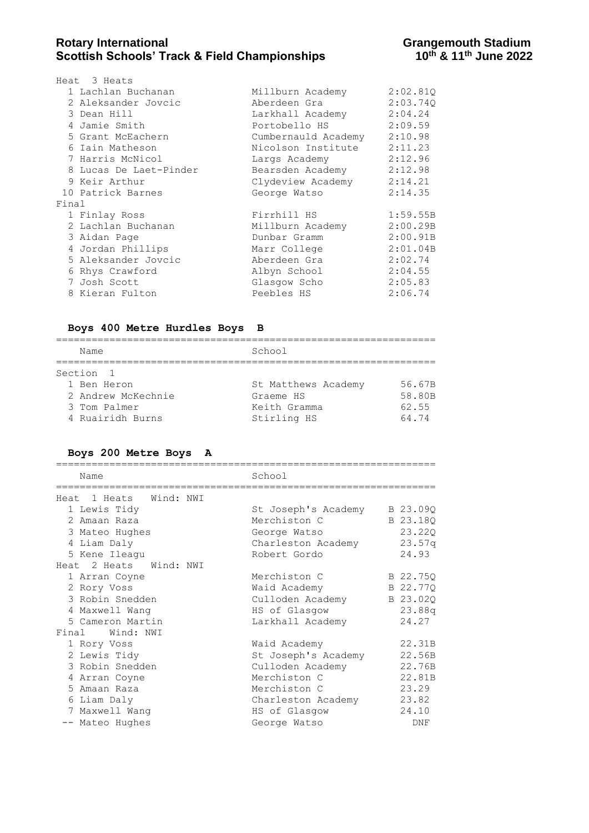|       | Heat 3 Heats           |                             |          |
|-------|------------------------|-----------------------------|----------|
|       | 1 Lachlan Buchanan     | Millburn Academy            | 2:02.810 |
|       | 2 Aleksander Jovcic    | Aberdeen Gra                | 2:03.740 |
|       | 3 Dean Hill            | Larkhall Academy 2:04.24    |          |
|       | 4 Jamie Smith          | Portobello HS 2:09.59       |          |
|       | 5 Grant McEachern      | Cumbernauld Academy 2:10.98 |          |
|       | 6 Iain Matheson        | Nicolson Institute 2:11.23  |          |
|       | 7 Harris McNicol       | Largs Academy 2:12.96       |          |
|       | 8 Lucas De Laet-Pinder | Bearsden Academy 2:12.98    |          |
|       | 9 Keir Arthur          | Clydeview Academy 2:14.21   |          |
|       | 10 Patrick Barnes      | George Watso 2:14.35        |          |
| Final |                        |                             |          |
|       | 1 Finlay Ross          | Firrhill HS                 | 1:59.55B |
|       | 2 Lachlan Buchanan     | Millburn Academy            | 2:00.29B |
|       | 3 Aidan Page           | Dunbar Gramm                | 2:00.91B |
|       | 4 Jordan Phillips      | Marr College                | 2:01.04B |
|       | 5 Aleksander Jovcic    | Aberdeen Gra                | 2:02.74  |
|       | 6 Rhys Crawford        | Albyn School                | 2:04.55  |
|       | 7 Josh Scott           | Glasqow Scho                | 2:05.83  |
|       | 8 Kieran Fulton        | Peebles HS                  | 2:06.74  |
|       |                        |                             |          |

### **Boys 400 Metre Hurdles Boys B**

| Name                                                                  | School                                                          |                                    |  |  |
|-----------------------------------------------------------------------|-----------------------------------------------------------------|------------------------------------|--|--|
| Section 1                                                             |                                                                 |                                    |  |  |
| 1 Ben Heron<br>2 Andrew McKechnie<br>3 Tom Palmer<br>4 Ruairidh Burns | St Matthews Academy<br>Graeme HS<br>Keith Gramma<br>Stirling HS | 56.67B<br>58.80B<br>62.55<br>64.74 |  |  |

# **Boys 200 Metre Boys A**

| Name                                                    | School                       |          |
|---------------------------------------------------------|------------------------------|----------|
| -----------------------------<br>Heat 1 Heats Wind: NWI | ---------------------------- |          |
| 1 Lewis Tidy                                            | St Joseph's Academy          | B 23.090 |
| 2 Amaan Raza                                            | Merchiston C                 | B 23.180 |
| 3 Mateo Hughes                                          | George Watso                 | 23.220   |
| 4 Liam Daly                                             | Charleston Academy           | 23.57q   |
| 5 Kene Ileagu                                           | Robert Gordo                 | 24.93    |
| Heat 2 Heats Wind: NWI                                  |                              |          |
| 1 Arran Coyne                                           | Merchiston C                 | B 22.75Q |
| 2 Rory Voss                                             | Waid Academy                 | B 22.77Q |
| 3 Robin Snedden                                         | Culloden Academy B 23.02Q    |          |
| 4 Maxwell Wang                                          | HS of Glasgow                | 23.88q   |
| 5 Cameron Martin                                        | Larkhall Academy             | 24.27    |
| Final Wind: NWI                                         |                              |          |
| 1 Rory Voss                                             | Waid Academy                 | 22.31B   |
| 2 Lewis Tidy                                            | St Joseph's Academy          | 22.56B   |
| 3 Robin Snedden                                         | Culloden Academy             | 22.76B   |
| 4 Arran Coyne                                           | Merchiston C                 | 22.81B   |
| 5 Amaan Raza                                            | Merchiston C                 | 23.29    |
| 6 Liam Daly                                             | Charleston Academy           | 23.82    |
| 7 Maxwell Wang                                          | HS of Glasgow                | 24.10    |
| -- Mateo Hughes                                         | George Watso                 | DNF      |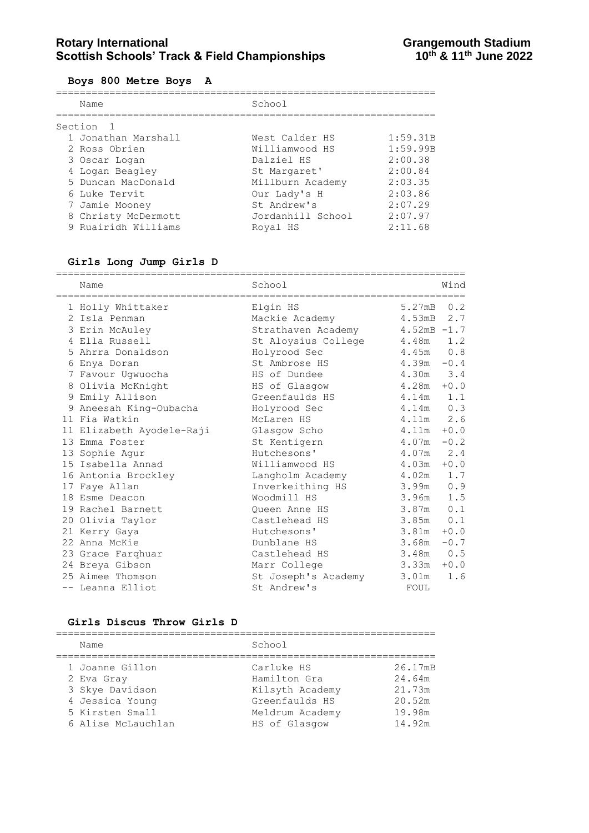#### **Boys 800 Metre Boys A**

| Name | School                                                                                                                                                                                                  |          |
|------|---------------------------------------------------------------------------------------------------------------------------------------------------------------------------------------------------------|----------|
|      |                                                                                                                                                                                                         |          |
|      | West Calder HS                                                                                                                                                                                          | 1:59.31B |
|      | Williamwood HS                                                                                                                                                                                          | 1:59.99B |
|      | Dalziel HS                                                                                                                                                                                              | 2:00.38  |
|      | St Margaret'                                                                                                                                                                                            | 2:00.84  |
|      | Millburn Academy                                                                                                                                                                                        | 2:03.35  |
|      | Our Lady's H                                                                                                                                                                                            | 2:03.86  |
|      | St Andrew's                                                                                                                                                                                             | 2:07.29  |
|      | Jordanhill School                                                                                                                                                                                       | 2:07.97  |
|      | Royal HS                                                                                                                                                                                                | 2:11.68  |
|      | Section <sub>1</sub><br>1 Jonathan Marshall<br>2 Ross Obrien<br>3 Oscar Logan<br>4 Logan Beagley<br>5 Duncan MacDonald<br>6 Luke Tervit<br>7 Jamie Mooney<br>8 Christy McDermott<br>9 Ruairidh Williams |          |

### **Girls Long Jump Girls D**

| Name                      | School                    |                        | Wind   |
|---------------------------|---------------------------|------------------------|--------|
| 1 Holly Whittaker         | Elgin HS                  | 5.27mB                 | 0.2    |
| 2 Isla Penman             | Mackie Academy            | 4.53mB                 | 2.7    |
| 3 Erin McAuley            | Strathaven Academy        | $4.52 \text{mB} - 1.7$ |        |
| 4 Ella Russell            | St Aloysius College 4.48m |                        | 1.2    |
| 5 Ahrra Donaldson         | Holyrood Sec              | 4.45m                  | 0.8    |
| 6 Enya Doran              | St Ambrose HS             | $4.39m - 0.4$          |        |
| 7 Favour Uqwuocha         | HS of Dundee              | 4.30m                  | 3.4    |
| 8 Olivia McKnight         | HS of Glasgow             | $4.28m + 0.0$          |        |
| 9 Emily Allison           | Greenfaulds HS            | 4.14m                  | 1.1    |
| 9 Aneesah King-Oubacha    | Holyrood Sec              | 4.14m                  | 0.3    |
| 11 Fia Watkin             | McLaren HS                | $4.11m$ 2.6            |        |
| 11 Elizabeth Ayodele-Raji | Glasgow Scho              | $4.11m + 0.0$          |        |
| 13 Emma Foster            | St Kentigern              | $4.07m - 0.2$          |        |
| 13 Sophie Aqur            | Hutchesons'               | 4.07m                  | 2.4    |
| 15 Isabella Annad         | Williamwood HS            | $4.03m + 0.0$          |        |
| 16 Antonia Brockley       | Langholm Academy          | 4.02m                  | 1.7    |
| 17 Faye Allan             | Inverkeithing HS          | 3.99m                  | 0.9    |
| 18 Esme Deacon            | Woodmill HS               | 3.96m                  | 1.5    |
| 19 Rachel Barnett         | Oueen Anne HS             | 3.87m                  | 0.1    |
| 20 Olivia Taylor          | Castlehead HS             | 3.85m                  | 0.1    |
| 21 Kerry Gaya             | Hutchesons'               | 3.81m                  | $+0.0$ |
| 22 Anna McKie             | Dunblane HS               | 3.68m                  | $-0.7$ |
| 23 Grace Farghuar         | Castlehead HS             | 3.48m                  | 0.5    |
| 24 Breya Gibson           | Marr College              | 3.33m                  | $+0.0$ |
| 25 Aimee Thomson          | St Joseph's Academy       | 3.01m                  | 1.6    |
| -- Leanna Elliot          | St Andrew's               | FOUL                   |        |

#### **Girls Discus Throw Girls D**

| Name               | School          |         |  |  |
|--------------------|-----------------|---------|--|--|
| 1 Joanne Gillon    | Carluke HS      | 26.17mB |  |  |
| 2 Eva Gray         | Hamilton Gra    | 24.64m  |  |  |
| 3 Skye Davidson    | Kilsyth Academy | 21.73m  |  |  |
| 4 Jessica Young    | Greenfaulds HS  | 20.52m  |  |  |
| 5 Kirsten Small    | Meldrum Academy | 19.98m  |  |  |
| 6 Alise McLauchlan | HS of Glasgow   | 14.92m  |  |  |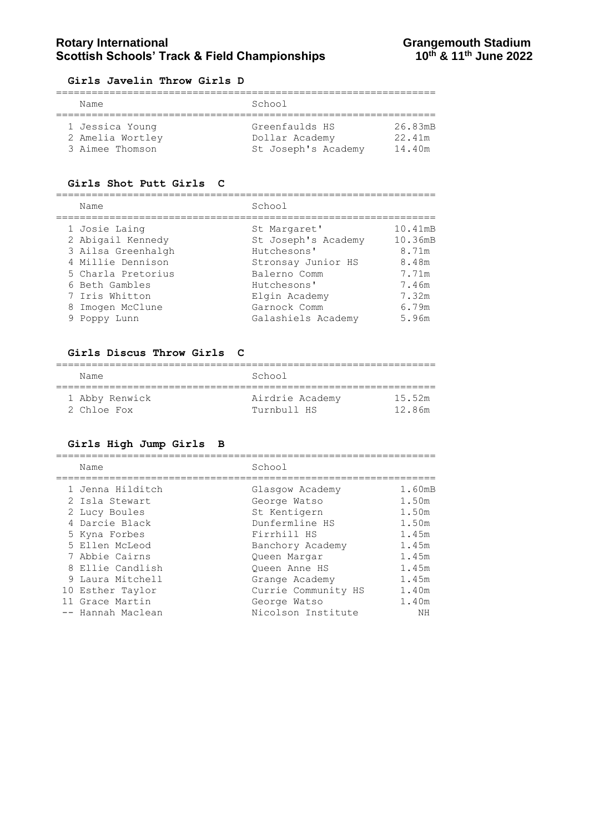### Rotary International **Rotary International**<br>Scottish Schools' Track & Field Championships **Grangemouth Stadium**<br>10<sup>th</sup> & 11<sup>th</sup> June 2022 **Scottish Schools' Track & Field Championships**

#### **Girls Javelin Throw Girls D**

| Name             | School              |         |  |  |  |
|------------------|---------------------|---------|--|--|--|
|                  |                     |         |  |  |  |
| 1 Jessica Young  | Greenfaulds HS      | 26.83mB |  |  |  |
| 2 Amelia Wortley | Dollar Academy      | 22.41m  |  |  |  |
| 3 Aimee Thomson  | St Joseph's Academy | 14.40m  |  |  |  |

#### **Girls Shot Putt Girls C**

================================================================

| Name               | School              |         |
|--------------------|---------------------|---------|
| 1 Josie Laing      | St Margaret'        | 10.41mB |
| 2 Abigail Kennedy  | St Joseph's Academy | 10.36mB |
| 3 Ailsa Greenhalgh | Hutchesons'         | 8.71m   |
| 4 Millie Dennison  | Stronsay Junior HS  | 8.48m   |
| 5 Charla Pretorius | Balerno Comm        | 7.71m   |
| 6 Beth Gambles     | Hutchesons'         | 7.46m   |
| 7 Iris Whitton     | Elgin Academy       | 7.32m   |
| 8 Imogen McClune   | Garnock Comm        | 6.79m   |
| 9 Poppy Lunn       | Galashiels Academy  | 5.96m   |
|                    |                     |         |

#### **Girls Discus Throw Girls C**

| Name           | School          |        |
|----------------|-----------------|--------|
| 1 Abby Renwick | Airdrie Academy | 15.52m |
| 2 Chloe Fox    | Turnbull HS     | 12.86m |

#### **Girls High Jump Girls B**

================================================================ Name School ================================================================ 1 Jenna Hilditch Glasgow Academy 1.60mB 2 Isla Stewart George Watso 1.50m 2 Lucy Boules St Kentigern 1.50m 4 Darcie Black **Dunfermline HS** 1.50m 5 Kyna Forbes Firrhill HS 1.45m 5 Ellen McLeod Banchory Academy 1.45m 7 Abbie Cairns Queen Margar 1.45m 8 Ellie Candlish Cueen Anne HS 1.45m 9 Laura Mitchell Grange Academy 1.45m 10 Esther Taylor Currie Community HS 1.40m 11 Grace Martin George Watso 1.40m -- Hannah Maclean Nicolson Institute NH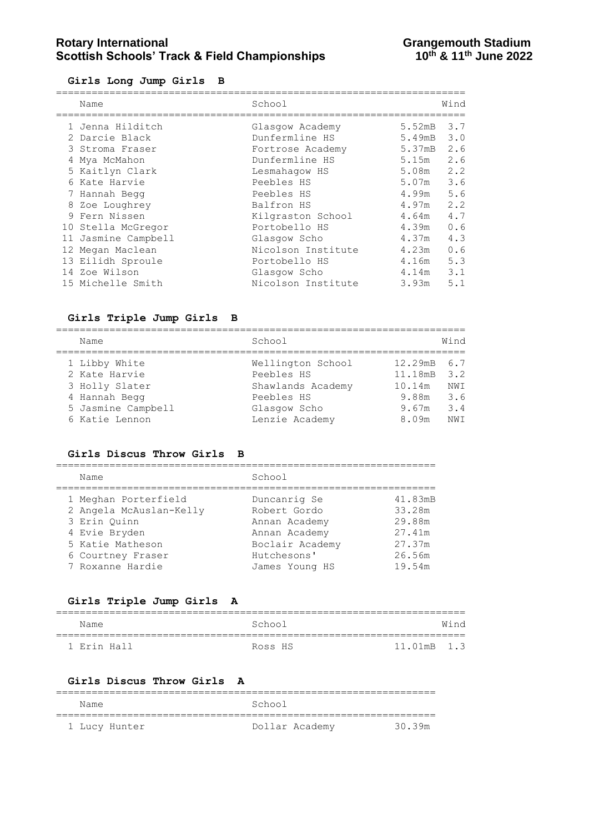# **Rotary International Constrained Bene and Stadium Scottish Schools' Track & Field Championships Constrained Activity**<br>10<sup>th</sup> & 11<sup>th</sup> June 2022 **Scottish Schools' Track & Field Championships**

#### **Girls Long Jump Girls B**

| Name                | School             |        | Wind |
|---------------------|--------------------|--------|------|
| 1 Jenna Hilditch    | Glasgow Academy    | 5.52mB | 3.7  |
| 2 Darcie Black      | Dunfermline HS     | 5.49mB | 3.0  |
| 3 Stroma Fraser     | Fortrose Academy   | 5.37mB | 2.6  |
| 4 Mya McMahon       | Dunfermline HS     | 5.15m  | 2.6  |
| 5 Kaitlyn Clark     | Lesmahagow HS      | 5.08m  | 2.2  |
| 6 Kate Harvie       | Peebles HS         | 5.07m  | 3.6  |
| 7 Hannah Begg       | Peebles HS         | 4.99m  | 5.6  |
| 8 Zoe Loughrey      | Balfron HS         | 4.97m  | 2.2  |
| 9 Fern Nissen       | Kilgraston School  | 4.64m  | 4.7  |
| 10 Stella McGregor  | Portobello HS      | 4.39m  | 0.6  |
| 11 Jasmine Campbell | Glasgow Scho       | 4.37m  | 4.3  |
| 12 Megan Maclean    | Nicolson Institute | 4.23m  | 0.6  |
| 13 Eilidh Sproule   | Portobello HS      | 4.16m  | 5.3  |
| 14 Zoe Wilson       | Glasgow Scho       | 4.14m  | 3.1  |
| 15 Michelle Smith   | Nicolson Institute | 3.93m  | 5.1  |
|                     |                    |        |      |

### **Girls Triple Jump Girls B**

| Name               | School            |             | Wind |
|--------------------|-------------------|-------------|------|
| 1 Libby White      | Wellington School | 12.29mB 6.7 |      |
| 2 Kate Harvie      | Peebles HS        | 11.18mB     | 3.2  |
| 3 Holly Slater     | Shawlands Academy | 10.14m      | NWI  |
| 4 Hannah Begg      | Peebles HS        | 9.88m       | 3.6  |
| 5 Jasmine Campbell | Glasgow Scho      | 9.67m       | 3.4  |
| 6 Katie Lennon     | Lenzie Academy    | 8.09m       | NW T |

#### **Girls Discus Throw Girls B**

| Name                    | School          |         |
|-------------------------|-----------------|---------|
| 1 Meghan Porterfield    | Duncanrig Se    | 41.83mB |
| 2 Angela McAuslan-Kelly | Robert Gordo    | 33.28m  |
| 3 Erin Ouinn            | Annan Academy   | 29.88m  |
| 4 Evie Bryden           | Annan Academy   | 27.41m  |
| 5 Katie Matheson        | Boclair Academy | 27.37m  |
| 6 Courtney Fraser       | Hutchesons'     | 26.56m  |
| 7 Roxanne Hardie        | James Young HS  | 19.54m  |
|                         |                 |         |

#### **Girls Triple Jump Girls A**

| Name        | School  |             | Wind |
|-------------|---------|-------------|------|
| 1 Erin Hall | Ross HS | 11.01mB 1.3 |      |

#### **Girls Discus Throw Girls A**

| Name          | School         |        |
|---------------|----------------|--------|
|               |                |        |
| 1 Lucy Hunter | Dollar Academy | 30 39m |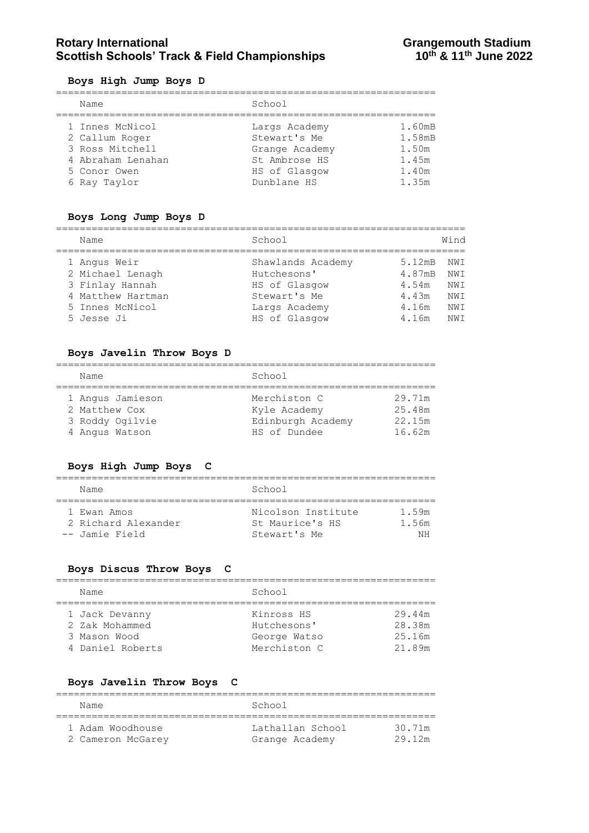# **Rotary International Constrained Bene and Stadium Scottish Schools' Track & Field Championships Constrained Activity**<br>10<sup>th</sup> & 11<sup>th</sup> June 2022 **Scottish Schools' Track & Field Championships**

#### **Boys High Jump Boys D**

| $= 0, 0, $ . $= 0, 0, $           |                                |                 |
|-----------------------------------|--------------------------------|-----------------|
| Name                              | School                         |                 |
| 1 Innes McNicol                   | Largs Academy                  | 1.60mB          |
| 2 Callum Roger<br>3 Ross Mitchell | Stewart's Me<br>Grange Academy | 1.58mB<br>1.50m |
| 4 Abraham Lenahan<br>5 Conor Owen | St Ambrose HS<br>HS of Glasgow | 1.45m<br>1.40m  |
| 6 Ray Taylor                      | Dunblane HS                    | 1.35m           |

#### **Boys Long Jump Boys D**

| Name              | School            |        | Wind |
|-------------------|-------------------|--------|------|
| 1 Angus Weir      | Shawlands Academy | 5.12mB | NW T |
| 2 Michael Lenagh  | Hutchesons'       | 4.87mB | NWI  |
| 3 Finlay Hannah   | HS of Glasgow     | 4.54m  | NWI  |
| 4 Matthew Hartman | Stewart's Me      | 4.43m  | NW T |
| 5 Innes McNicol   | Largs Academy     | 4.16m  | NWI  |
| 5 Jesse Ji        | HS of Glasgow     | 4.16m  | NW T |

#### **Boys Javelin Throw Boys D**

| Name             | School            |        |
|------------------|-------------------|--------|
|                  |                   |        |
| 1 Angus Jamieson | Merchiston C      | 29.71m |
| 2 Matthew Cox    | Kyle Academy      | 25.48m |
| 3 Roddy Ogilvie  | Edinburgh Academy | 22.15m |
| 4 Angus Watson   | HS of Dundee      | 16.62m |

### **Boys High Jump Boys C**

| Name                | School             |       |
|---------------------|--------------------|-------|
| 1 Ewan Amos         | Nicolson Institute | 1 59m |
| 2 Richard Alexander | St Maurice's HS    | 1.56m |
| -- Jamie Field      | Stewart's Me       | NН    |

#### **Boys Discus Throw Boys C**

| Name             | School       |        |
|------------------|--------------|--------|
| 1 Jack Devanny   | Kinross HS   | 29.44m |
| 2 Zak Mohammed   | Hutchesons'  | 28.38m |
| 3 Mason Wood     | George Watso | 25.16m |
| 4 Daniel Roberts | Merchiston C | 21.89m |

### **Boys Javelin Throw Boys C**

| Name              | School           |        |
|-------------------|------------------|--------|
| 1 Adam Woodhouse  | Lathallan School | 30.71m |
| 2 Cameron McGarey | Grange Academy   | 29.12m |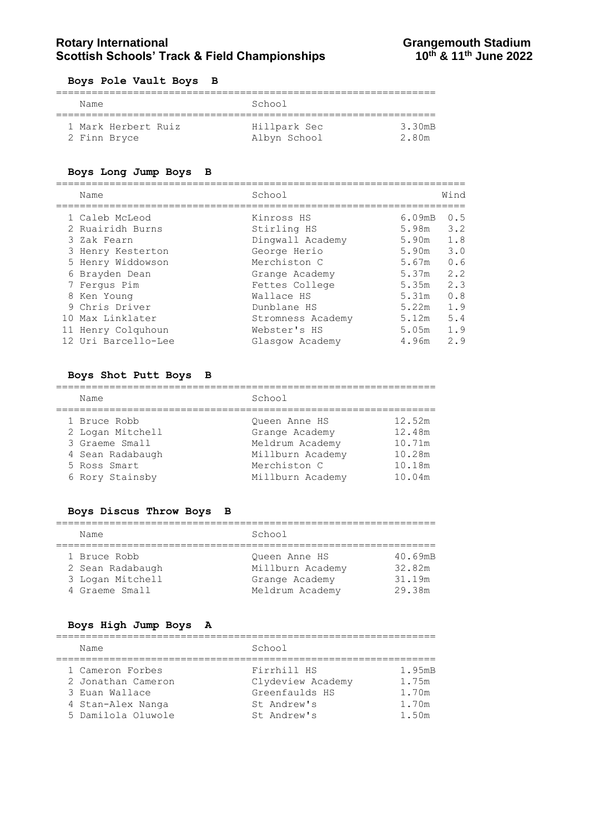### Rotary International **Rotary International**<br>Scottish Schools' Track & Field Championships **Grangemouth Stadium**<br>10<sup>th</sup> & 11<sup>th</sup> June 2022 **Scottish Schools' Track & Field Championships**

#### **Boys Pole Vault Boys B**

| Name                | School       |        |
|---------------------|--------------|--------|
| 1 Mark Herbert Ruiz | Hillpark Sec | 3.30mB |
| 2 Finn Bryce        | Albyn School | 2.80m  |

#### **Boys Long Jump Boys B**

| Name                                                                                                                                                                                                     | School                                                                                                                                                                              |                                                                                                              | Wind                                                                      |
|----------------------------------------------------------------------------------------------------------------------------------------------------------------------------------------------------------|-------------------------------------------------------------------------------------------------------------------------------------------------------------------------------------|--------------------------------------------------------------------------------------------------------------|---------------------------------------------------------------------------|
| 1 Caleb McLeod<br>2 Ruairidh Burns<br>3 Zak Fearn<br>3 Henry Kesterton<br>5 Henry Widdowson<br>6 Brayden Dean<br>7 Fergus Pim<br>8 Ken Young<br>9 Chris Driver<br>10 Max Linklater<br>11 Henry Colquhoun | Kinross HS<br>Stirling HS<br>Dingwall Academy<br>George Herio<br>Merchiston C<br>Grange Academy<br>Fettes College<br>Wallace HS<br>Dunblane HS<br>Stromness Academy<br>Webster's HS | 6.09 <sub>mB</sub><br>5.98m<br>5.90m<br>5.90m<br>5.67m<br>5.37m<br>5.35m<br>5.31m<br>5.22m<br>5.12m<br>5.05m | 0.5<br>3.2<br>1.8<br>3.0<br>0.6<br>2.2<br>2.3<br>0.8<br>1.9<br>5.4<br>1.9 |
| 12 Uri Barcello-Lee                                                                                                                                                                                      | Glasgow Academy                                                                                                                                                                     | 4.96m                                                                                                        | 2.9                                                                       |

#### **Boys Shot Putt Boys B**

#### ================================================================ Name School ================================================================ 1 Bruce Robb Queen Anne HS 12.52m 2 Logan Mitchell Grange Academy 12.48m 3 Graeme Small Meldrum Academy 10.71m 4 Sean Radabaugh Millburn Academy 10.28m 5 Ross Smart Merchiston C 10.18m

6 Rory Stainsby Millburn Academy 10.04m

#### **Boys Discus Throw Boys B**

| Name             | School           |         |
|------------------|------------------|---------|
| 1 Bruce Robb     | Oueen Anne HS    | 40.69mB |
| 2 Sean Radabaugh | Millburn Academy | 32.82m  |
| 3 Logan Mitchell | Grange Academy   | 31.19m  |
| 4 Graeme Small   | Meldrum Academy  | 29.38m  |

#### **Boys High Jump Boys A**

================================================================ Name School ================================================================ 1 Cameron Forbes Firrhill HS 1.95mB 2 Jonathan Cameron Clydeview Academy 1.75m 3 Euan Wallace  $G$  Greenfaulds HS  $1.70$ m 4 Stan-Alex Nanga St Andrew's 1.70m 5 Damilola Oluwole St Andrew's 1.50m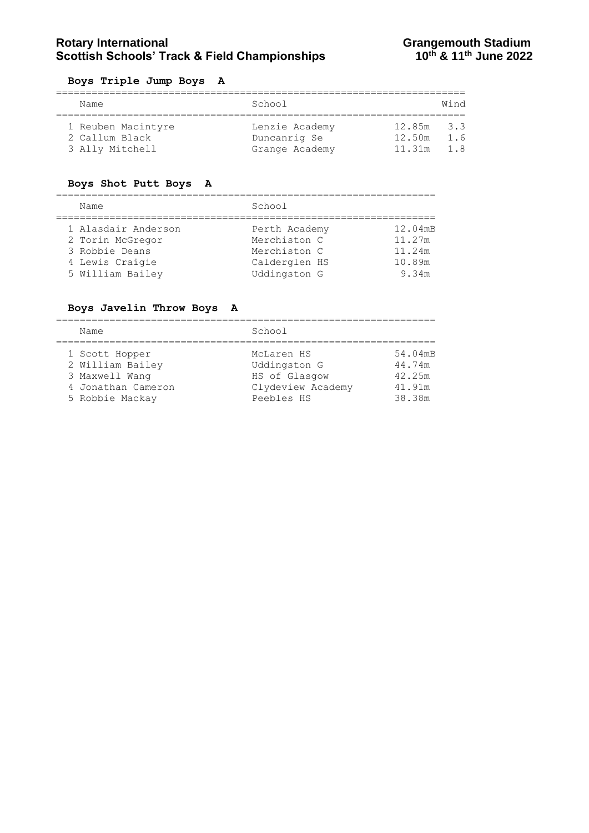# **Rotary International Constrained Bene and Stadium Scottish Schools' Track & Field Championships Constrained Activity**<br>10<sup>th</sup> & 11<sup>th</sup> June 2022 **Scottish Schools' Track & Field Championships**

#### **Boys Triple Jump Boys A**

|  | Name               | School         |              | Wind |  |
|--|--------------------|----------------|--------------|------|--|
|  | 1 Reuben Macintyre | Lenzie Academy | $12.85m$ 3.3 |      |  |
|  | 2 Callum Black     | Duncanrig Se   | 12.50m       | 1.6  |  |
|  | 3 Ally Mitchell    | Grange Academy | 11.31m       | 1 R  |  |

#### **Boys Shot Putt Boys A**

================================================================

| Name                                    | School                        |                   |
|-----------------------------------------|-------------------------------|-------------------|
| 1 Alasdair Anderson<br>2 Torin McGregor | Perth Academy<br>Merchiston C | 12.04mB<br>11.27m |
| 3 Robbie Deans                          | Merchiston C                  | 11.24m            |
| 4 Lewis Craigie<br>5 William Bailey     | Calderglen HS<br>Uddingston G | 10.89m<br>9.34m   |
|                                         |                               |                   |

#### **Boys Javelin Throw Boys A**

| Name               | School            |         |
|--------------------|-------------------|---------|
| 1 Scott Hopper     | McLaren HS        | 54.04mB |
| 2 William Bailey   | Uddingston G      | 44.74m  |
| 3 Maxwell Wang     | HS of Glasgow     | 42.25m  |
| 4 Jonathan Cameron | Clydeview Academy | 41.91m  |
| 5 Robbie Mackay    | Peebles HS        | 38.38m  |
|                    |                   |         |